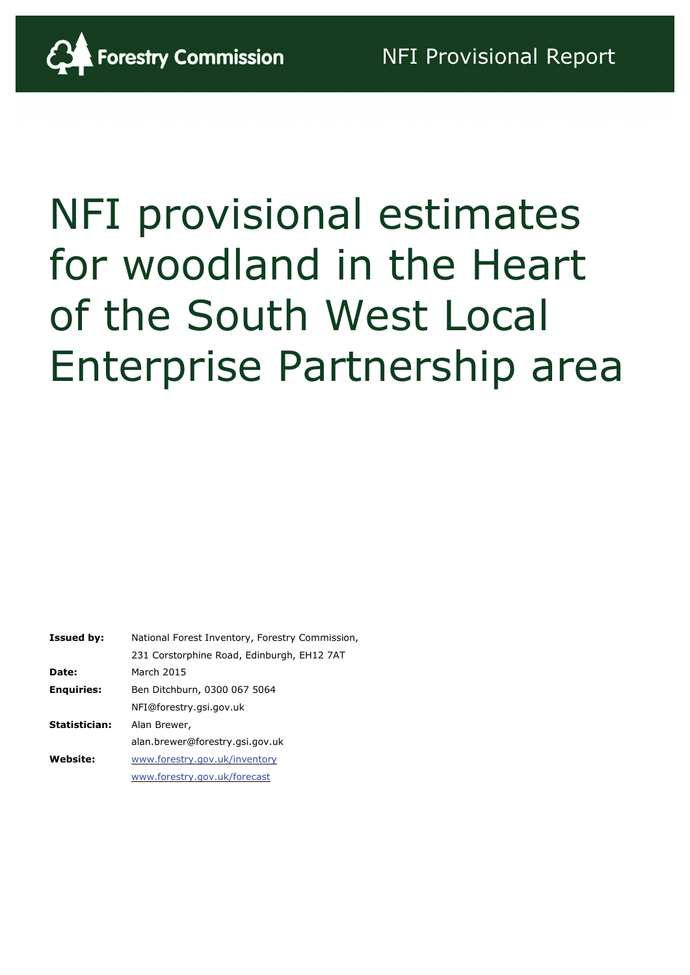

# NFI provisional estimates for woodland in the Heart of the South West Local Enterprise Partnership area

| <b>Issued by:</b> | National Forest Inventory, Forestry Commission, |
|-------------------|-------------------------------------------------|
|                   | 231 Corstorphine Road, Edinburgh, EH12 7AT      |
| Date:             | March 2015                                      |
| <b>Enguiries:</b> | Ben Ditchburn, 0300 067 5064                    |
|                   | NFI@forestry.gsi.gov.uk                         |
| Statistician:     | Alan Brewer,                                    |
|                   | alan.brewer@forestry.gsi.gov.uk                 |
| <b>Website:</b>   | www.forestry.gov.uk/inventory                   |
|                   | www.forestry.gov.uk/forecast                    |
|                   |                                                 |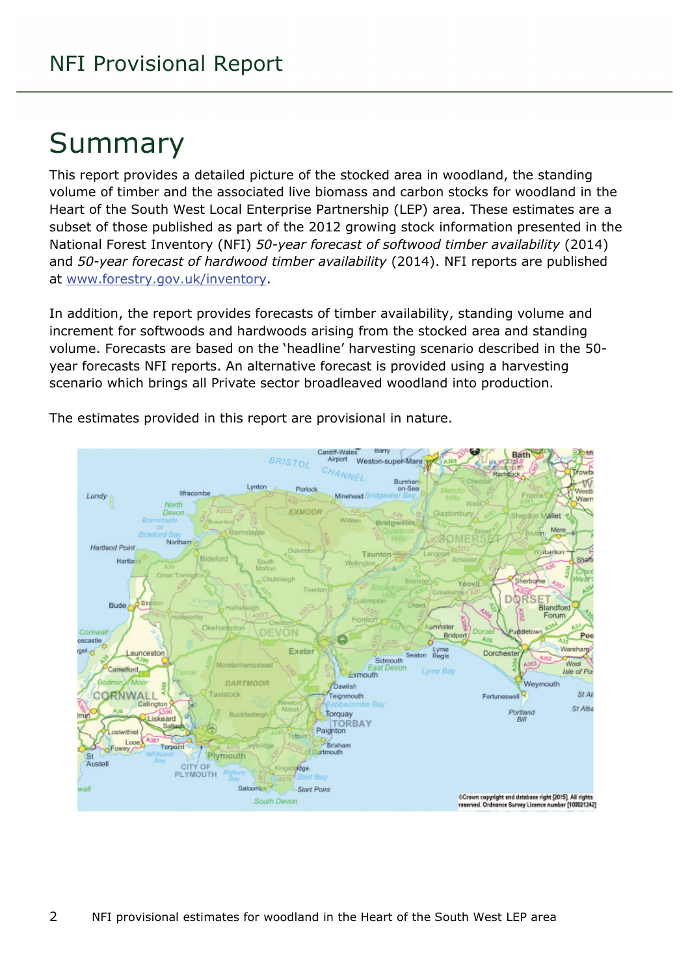# Summary

This report provides a detailed picture of the stocked area in woodland, the standing volume of timber and the associated live biomass and carbon stocks for woodland in the Heart of the South West Local Enterprise Partnership (LEP) area. These estimates are a subset of those published as part of the 2012 growing stock information presented in the National Forest Inventory (NFI) *50-year forecast of softwood timber availability* (2014) and *50-year forecast of hardwood timber availability* (2014). NFI reports are published at [www.forestry.gov.uk/inventory.](http://www.forestry.gov.uk/inventory)

In addition, the report provides forecasts of timber availability, standing volume and increment for softwoods and hardwoods arising from the stocked area and standing volume. Forecasts are based on the 'headline' harvesting scenario described in the 50 year forecasts NFI reports. An alternative forecast is provided using a harvesting scenario which brings all Private sector broadleaved woodland into production.



The estimates provided in this report are provisional in nature.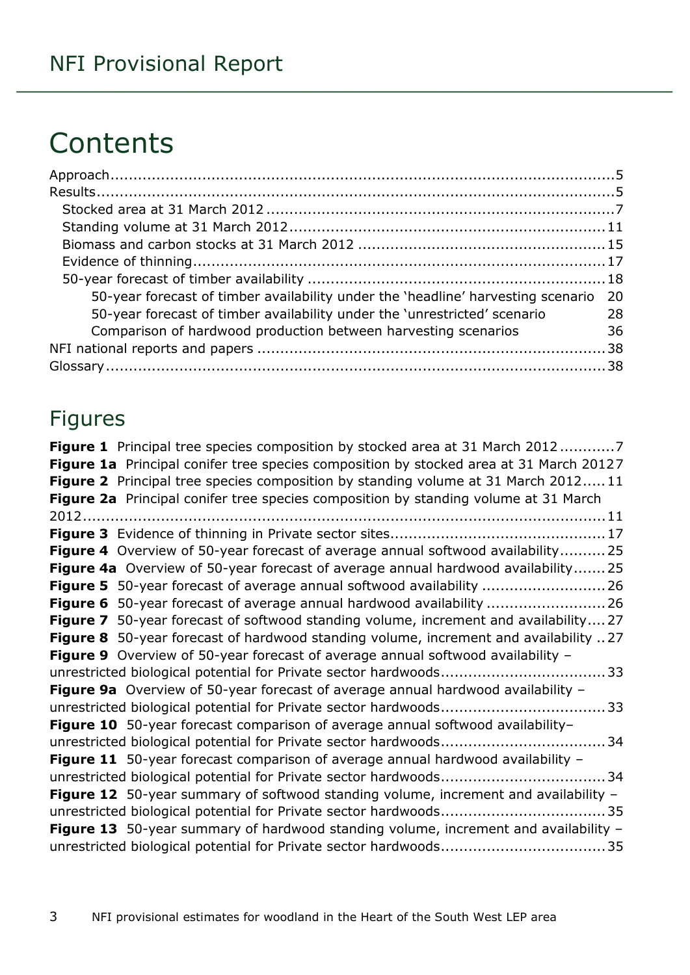# **Contents**

| 50-year forecast of timber availability under the 'headline' harvesting scenario 20 |    |
|-------------------------------------------------------------------------------------|----|
| 50-year forecast of timber availability under the 'unrestricted' scenario           | 28 |
| Comparison of hardwood production between harvesting scenarios                      | 36 |
|                                                                                     |    |
|                                                                                     |    |

### Figures

| <b>Figure 1</b> Principal tree species composition by stocked area at 31 March 20127       |
|--------------------------------------------------------------------------------------------|
| Figure 1a Principal conifer tree species composition by stocked area at 31 March 20127     |
| <b>Figure 2</b> Principal tree species composition by standing volume at 31 March 201211   |
| Figure 2a Principal conifer tree species composition by standing volume at 31 March        |
|                                                                                            |
|                                                                                            |
| <b>Figure 4</b> Overview of 50-year forecast of average annual softwood availability 25    |
| Figure 4a Overview of 50-year forecast of average annual hardwood availability25           |
| <b>Figure 5</b> 50-year forecast of average annual softwood availability  26               |
| <b>Figure 6</b> 50-year forecast of average annual hardwood availability  26               |
| Figure 7 50-year forecast of softwood standing volume, increment and availability 27       |
| Figure 8 50-year forecast of hardwood standing volume, increment and availability 27       |
| <b>Figure 9</b> Overview of 50-year forecast of average annual softwood availability -     |
|                                                                                            |
| Figure 9a Overview of 50-year forecast of average annual hardwood availability -           |
|                                                                                            |
| Figure 10 50-year forecast comparison of average annual softwood availability-             |
|                                                                                            |
| Figure 11 50-year forecast comparison of average annual hardwood availability -            |
|                                                                                            |
| <b>Figure 12</b> 50-year summary of softwood standing volume, increment and availability - |
|                                                                                            |
| Figure 13 50-year summary of hardwood standing volume, increment and availability -        |
|                                                                                            |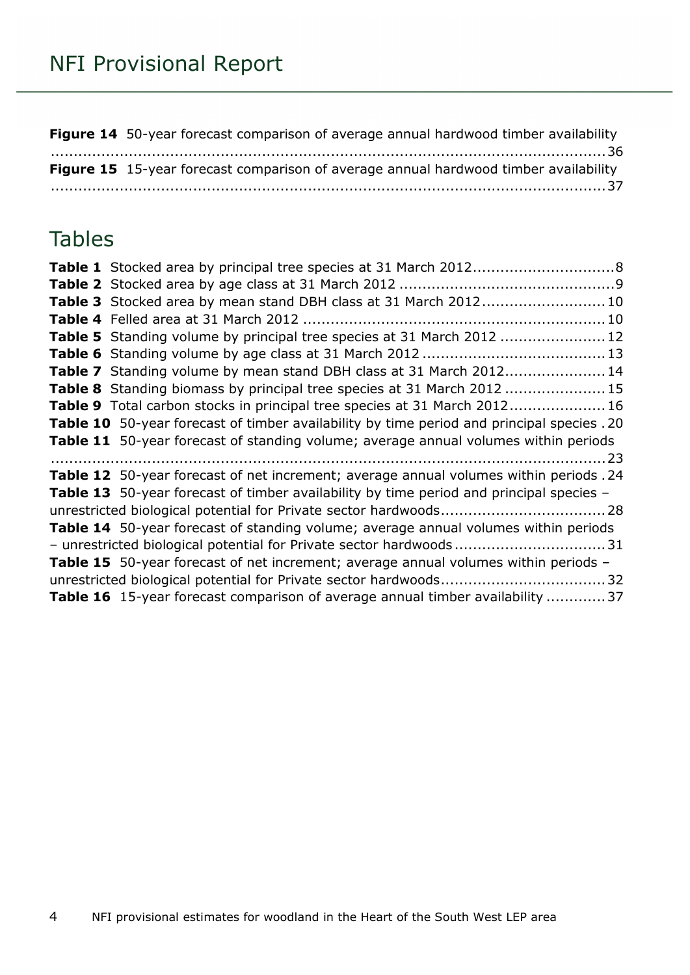**Figure 14** [50-year forecast comparison of average annual hardwood timber availability](#page-35-1) [.........................................................................................................................36](#page-35-1) **Figure 15** [15-year forecast comparison of average annual hardwood timber availability](#page-36-0) [.........................................................................................................................37](#page-36-0)

### **Tables**

| Table 3 Stocked area by mean stand DBH class at 31 March 2012 10                           |
|--------------------------------------------------------------------------------------------|
|                                                                                            |
| Table 5 Standing volume by principal tree species at 31 March 2012  12                     |
|                                                                                            |
| Table 7 Standing volume by mean stand DBH class at 31 March 2012 14                        |
| Table 8 Standing biomass by principal tree species at 31 March 2012 15                     |
| Table 9 Total carbon stocks in principal tree species at 31 March 2012 16                  |
| Table 10 50-year forecast of timber availability by time period and principal species . 20 |
| Table 11 50-year forecast of standing volume; average annual volumes within periods        |
|                                                                                            |
| Table 12 50-year forecast of net increment; average annual volumes within periods .24      |
| Table 13 50-year forecast of timber availability by time period and principal species -    |
|                                                                                            |
| Table 14 50-year forecast of standing volume; average annual volumes within periods        |
|                                                                                            |
| Table 15 50-year forecast of net increment; average annual volumes within periods -        |
|                                                                                            |
| Table 16 15-year forecast comparison of average annual timber availability  37             |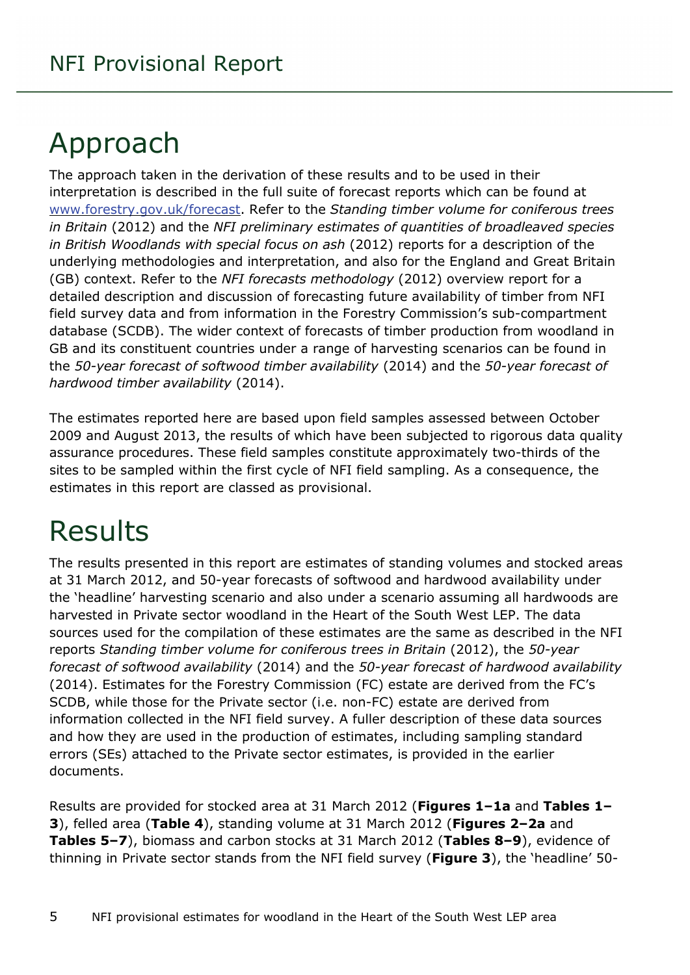# <span id="page-4-0"></span>Approach

The approach taken in the derivation of these results and to be used in their interpretation is described in the full suite of forecast reports which can be found at [www.forestry.gov.uk/forecast.](http://www.forestry.gov.uk/forecast) Refer to the *Standing timber volume for coniferous trees in Britain* (2012) and the *NFI preliminary estimates of quantities of broadleaved species in British Woodlands with special focus on ash* (2012) reports for a description of the underlying methodologies and interpretation, and also for the England and Great Britain (GB) context. Refer to the *NFI forecasts methodology* (2012) overview report for a detailed description and discussion of forecasting future availability of timber from NFI field survey data and from information in the Forestry Commission's sub-compartment database (SCDB). The wider context of forecasts of timber production from woodland in GB and its constituent countries under a range of harvesting scenarios can be found in the *50-year forecast of softwood timber availability* (2014) and the *50-year forecast of hardwood timber availability* (2014).

The estimates reported here are based upon field samples assessed between October 2009 and August 2013, the results of which have been subjected to rigorous data quality assurance procedures. These field samples constitute approximately two-thirds of the sites to be sampled within the first cycle of NFI field sampling. As a consequence, the estimates in this report are classed as provisional.

# <span id="page-4-1"></span>Results

The results presented in this report are estimates of standing volumes and stocked areas at 31 March 2012, and 50-year forecasts of softwood and hardwood availability under the 'headline' harvesting scenario and also under a scenario assuming all hardwoods are harvested in Private sector woodland in the Heart of the South West LEP. The data sources used for the compilation of these estimates are the same as described in the NFI reports *Standing timber volume for coniferous trees in Britain* (2012), the *50-year forecast of softwood availability* (2014) and the *50-year forecast of hardwood availability* (2014). Estimates for the Forestry Commission (FC) estate are derived from the FC's SCDB, while those for the Private sector (i.e. non-FC) estate are derived from information collected in the NFI field survey. A fuller description of these data sources and how they are used in the production of estimates, including sampling standard errors (SEs) attached to the Private sector estimates, is provided in the earlier documents.

Results are provided for stocked area at 31 March 2012 (**Figures 1–1a** and **Tables 1– 3**), felled area (**Table 4**), standing volume at 31 March 2012 (**Figures 2–2a** and **Tables 5–7**), biomass and carbon stocks at 31 March 2012 (**Tables 8–9**), evidence of thinning in Private sector stands from the NFI field survey (**Figure 3**), the 'headline' 50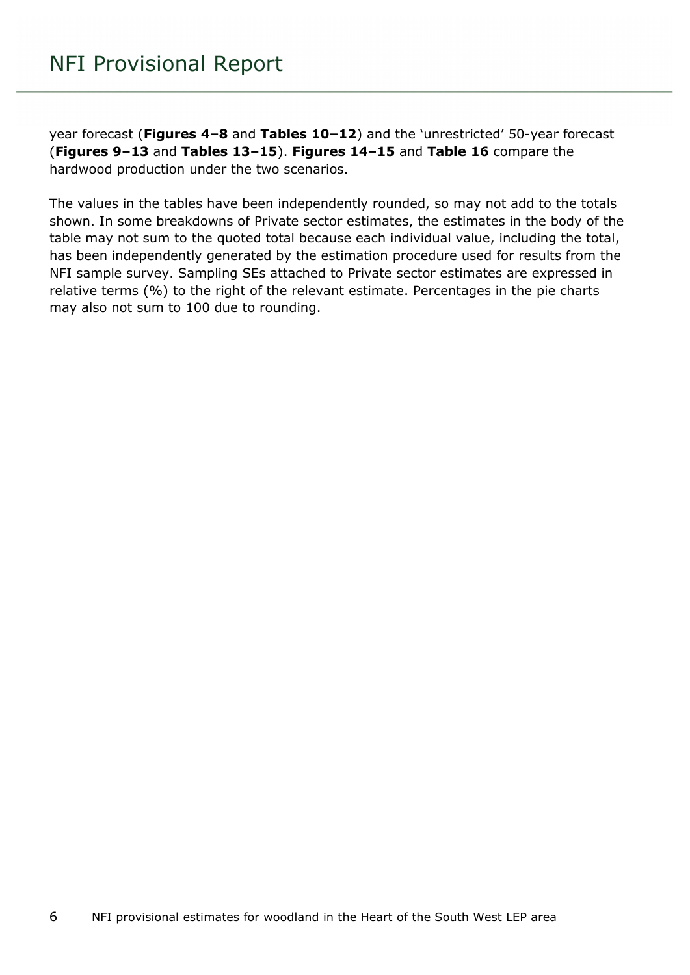year forecast (**Figures 4–8** and **Tables 10–12**) and the 'unrestricted' 50-year forecast (**Figures 9–13** and **Tables 13–15**). **Figures 14–15** and **Table 16** compare the hardwood production under the two scenarios.

The values in the tables have been independently rounded, so may not add to the totals shown. In some breakdowns of Private sector estimates, the estimates in the body of the table may not sum to the quoted total because each individual value, including the total, has been independently generated by the estimation procedure used for results from the NFI sample survey. Sampling SEs attached to Private sector estimates are expressed in relative terms (%) to the right of the relevant estimate. Percentages in the pie charts may also not sum to 100 due to rounding.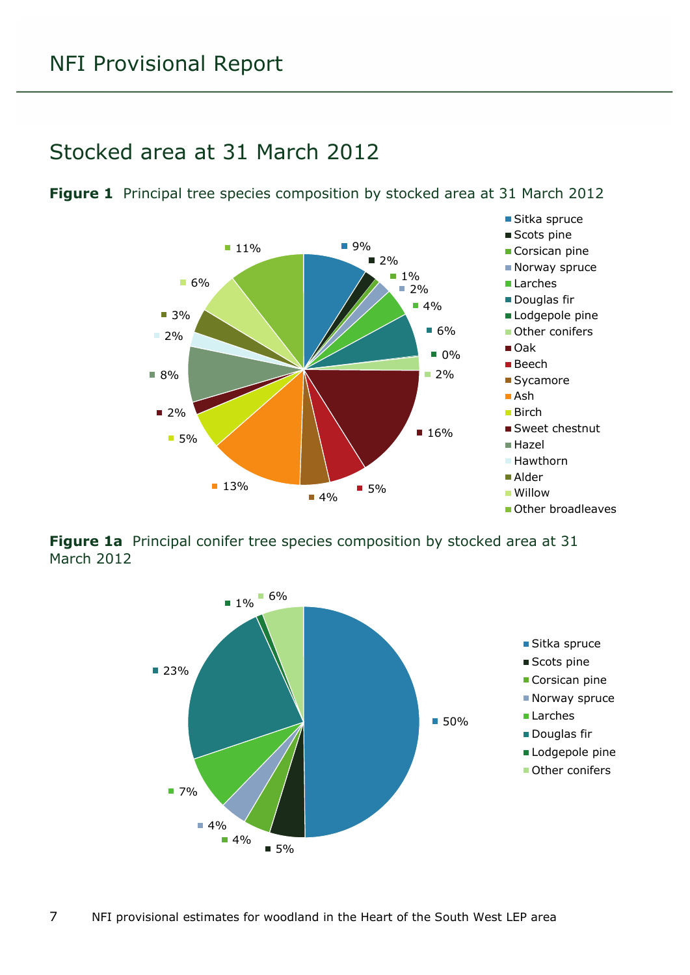### <span id="page-6-0"></span>Stocked area at 31 March 2012



<span id="page-6-1"></span>**Figure 1** Principal tree species composition by stocked area at 31 March 2012

<span id="page-6-2"></span>**Figure 1a** Principal conifer tree species composition by stocked area at 31 March 2012

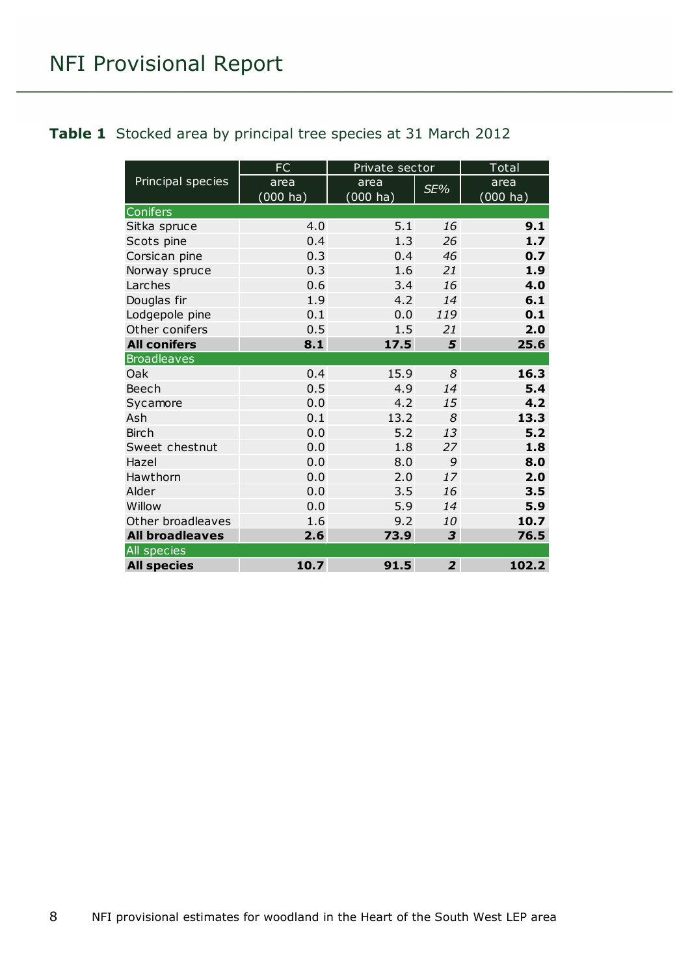#### <span id="page-7-0"></span>**Table 1** Stocked area by principal tree species at 31 March 2012

|                        | <b>FC</b>          | Private sector     |                | <b>Total</b>       |
|------------------------|--------------------|--------------------|----------------|--------------------|
| Principal species      | area               | area               | SE%            | area               |
|                        | $(000 \text{ ha})$ | $(000 \text{ ha})$ |                | $(000 \text{ ha})$ |
| Conifers               |                    |                    |                |                    |
| Sitka spruce           | 4.0                | 5.1                | 16             | 9.1                |
| Scots pine             | 0.4                | 1.3                | 26             | 1.7                |
| Corsican pine          | 0.3                | 0.4                | 46             | 0.7                |
| Norway spruce          | 0.3                | 1.6                | 21             | 1.9                |
| Larches                | 0.6                | 3.4                | 16             | 4.0                |
| Douglas fir            | 1.9                | 4.2                | 14             | 6.1                |
| Lodgepole pine         | 0.1                | 0.0                | 119            | 0.1                |
| Other conifers         | 0.5                | 1.5                | 21             | 2.0                |
| <b>All conifers</b>    | 8.1                | 17.5               | 5              | 25.6               |
| <b>Broadleaves</b>     |                    |                    |                |                    |
| Oak                    | 0.4                | 15.9               | 8              | 16.3               |
| Beech                  | 0.5                | 4.9                | 14             | 5.4                |
| Sycamore               | 0.0                | 4.2                | 15             | 4.2                |
| Ash                    | 0.1                | 13.2               | 8              | 13.3               |
| <b>Birch</b>           | 0.0                | 5.2                | 13             | 5.2                |
| Sweet chestnut         | 0.0                | 1.8                | 27             | 1.8                |
| Hazel                  | 0.0                | 8.0                | 9              | 8.0                |
| Hawthorn               | 0.0                | 2.0                | 17             | 2.0                |
| Alder                  | 0.0                | 3.5                | 16             | 3.5                |
| Willow                 | 0.0                | 5.9                | 14             | 5.9                |
| Other broadleaves      | 1.6                | 9.2                | 10             | 10.7               |
| <b>All broadleaves</b> | 2.6                | 73.9               | 3              | 76.5               |
| All species            |                    |                    |                |                    |
| <b>All species</b>     | 10.7               | 91.5               | $\overline{2}$ | 102.2              |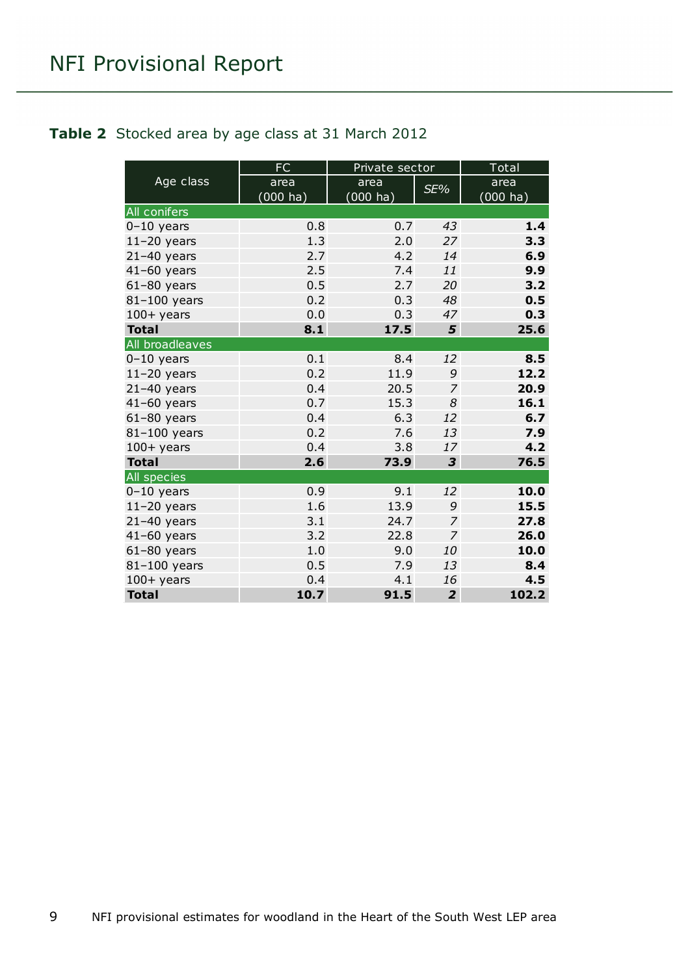#### <span id="page-8-0"></span>**Table 2** Stocked area by age class at 31 March 2012

|                     | <b>FC</b>          | Private sector |                | Total       |
|---------------------|--------------------|----------------|----------------|-------------|
| Age class           | area               | area           | SE%            | area        |
|                     | $(000 \text{ ha})$ | $(000)$ ha)    |                | $(000)$ ha) |
| <b>All conifers</b> |                    |                |                |             |
| $0-10$ years        | 0.8                | 0.7            | 43             | 1.4         |
| $11-20$ years       | 1.3                | 2.0            | 27             | 3.3         |
| $21-40$ years       | 2.7                | 4.2            | 14             | 6.9         |
| $41-60$ years       | 2.5                | 7.4            | 11             | 9.9         |
| $61-80$ years       | 0.5                | 2.7            | 20             | 3.2         |
| 81-100 years        | 0.2                | 0.3            | 48             | 0.5         |
| $100+$ years        | 0.0                | 0.3            | 47             | 0.3         |
| <b>Total</b>        | 8.1                | 17.5           | 5              | 25.6        |
| All broadleaves     |                    |                |                |             |
| $0-10$ years        | 0.1                | 8.4            | 12             | 8.5         |
| $11-20$ years       | 0.2                | 11.9           | 9              | 12.2        |
| $21-40$ years       | 0.4                | 20.5           | $\overline{7}$ | 20.9        |
| $41-60$ years       | 0.7                | 15.3           | 8              | 16.1        |
| $61-80$ years       | 0.4                | 6.3            | 12             | 6.7         |
| 81-100 years        | 0.2                | 7.6            | 13             | 7.9         |
| $100+$ years        | 0.4                | 3.8            | 17             | 4.2         |
| <b>Total</b>        | 2.6                | 73.9           | 3              | 76.5        |
| <b>All species</b>  |                    |                |                |             |
| $0-10$ years        | 0.9                | 9.1            | 12             | 10.0        |
| $11-20$ years       | 1.6                | 13.9           | 9              | 15.5        |
| $21-40$ years       | 3.1                | 24.7           | 7              | 27.8        |
| $41-60$ years       | 3.2                | 22.8           | $\overline{7}$ | 26.0        |
| $61-80$ years       | 1.0                | 9.0            | 10             | 10.0        |
| 81-100 years        | 0.5                | 7.9            | 13             | 8.4         |
| $100 +$ years       | 0.4                | 4.1            | 16             | 4.5         |
| <b>Total</b>        | 10.7               | 91.5           | $\overline{2}$ | 102.2       |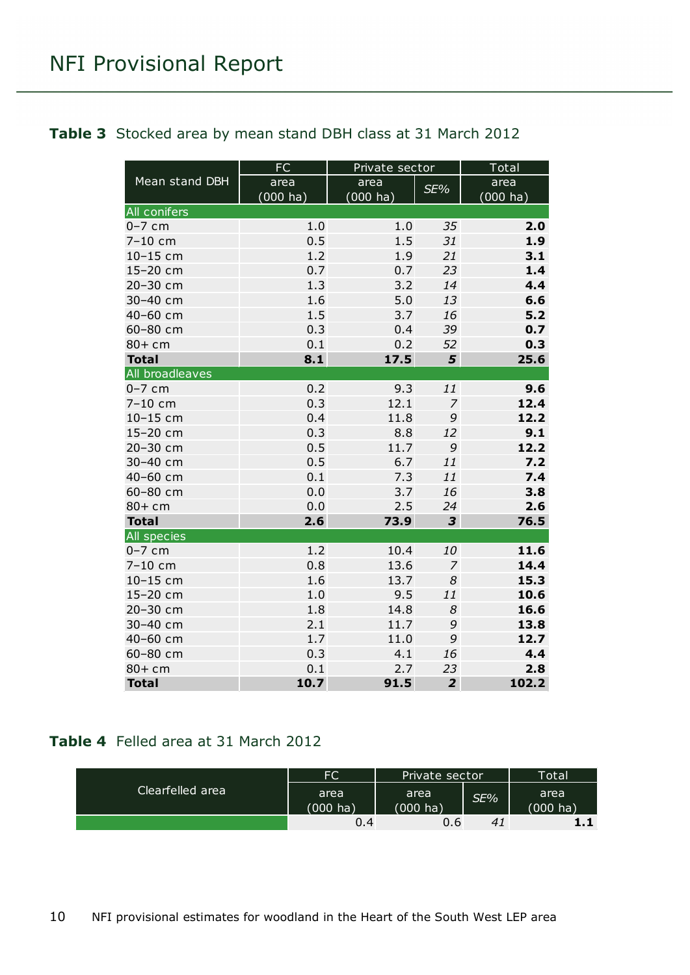#### <span id="page-9-0"></span>**Table 3** Stocked area by mean stand DBH class at 31 March 2012

|                     | FC          | Private sector     |                | Total       |
|---------------------|-------------|--------------------|----------------|-------------|
| Mean stand DBH      | area        | area               | SE%            | area        |
|                     | $(000)$ ha) | $(000 \text{ ha})$ |                | $(000)$ ha) |
| <b>All conifers</b> |             |                    |                |             |
| $0-7$ cm            | 1.0         | 1.0                | 35             | 2.0         |
| 7-10 cm             | 0.5         | 1.5                | 31             | 1.9         |
| 10-15 cm            | 1.2         | 1.9                | 21             | 3.1         |
| 15-20 cm            | 0.7         | 0.7                | 23             | 1.4         |
| 20-30 cm            | 1.3         | 3.2                | 14             | 4.4         |
| 30-40 cm            | 1.6         | 5.0                | 13             | 6.6         |
| 40-60 cm            | 1.5         | 3.7                | 16             | $5.2$       |
| 60-80 cm            | 0.3         | 0.4                | 39             | 0.7         |
| $80+cm$             | 0.1         | 0.2                | 52             | 0.3         |
| <b>Total</b>        | 8.1         | 17.5               | 5              | 25.6        |
| All broadleaves     |             |                    |                |             |
| $0-7$ cm            | 0.2         | 9.3                | 11             | 9.6         |
| $7 - 10$ cm         | 0.3         | 12.1               | $\overline{7}$ | 12.4        |
| $10 - 15$ cm        | 0.4         | 11.8               | 9              | 12.2        |
| 15-20 cm            | 0.3         | 8.8                | 12             | 9.1         |
| 20-30 cm            | 0.5         | 11.7               | 9              | 12.2        |
| 30-40 cm            | 0.5         | 6.7                | 11             | 7.2         |
| 40-60 cm            | 0.1         | 7.3                | 11             | 7.4         |
| 60-80 cm            | 0.0         | 3.7                | 16             | 3.8         |
| $80+cm$             | 0.0         | 2.5                | 24             | 2.6         |
| <b>Total</b>        | 2.6         | 73.9               | 3              | 76.5        |
| <b>All species</b>  |             |                    |                |             |
| $0-7$ cm            | 1.2         | 10.4               | 10             | 11.6        |
| 7-10 cm             | 0.8         | 13.6               | $\overline{7}$ | 14.4        |
| 10-15 cm            | 1.6         | 13.7               | 8              | 15.3        |
| 15-20 cm            | 1.0         | 9.5                | 11             | 10.6        |
| 20-30 cm            | 1.8         | 14.8               | 8              | 16.6        |
| 30-40 cm            | 2.1         | 11.7               | 9              | 13.8        |
| 40-60 cm            | 1.7         | 11.0               | 9              | 12.7        |
| 60-80 cm            | 0.3         | 4.1                | 16             | 4.4         |
| $80+cm$             | 0.1         | 2.7                | 23             | 2.8         |
| <b>Total</b>        | 10.7        | 91.5               | $\overline{2}$ | 102.2       |

#### <span id="page-9-1"></span>**Table 4** Felled area at 31 March 2012

| Clearfelled area | FC                 | Private sector     |     | <b>Total</b>       |
|------------------|--------------------|--------------------|-----|--------------------|
|                  | area               | area               | SE% | area               |
|                  | $(000 \text{ ha})$ | $(000 \text{ ha})$ |     | $(000 \text{ ha})$ |
|                  | 0.4                | 0.6                | 41  | 1.1                |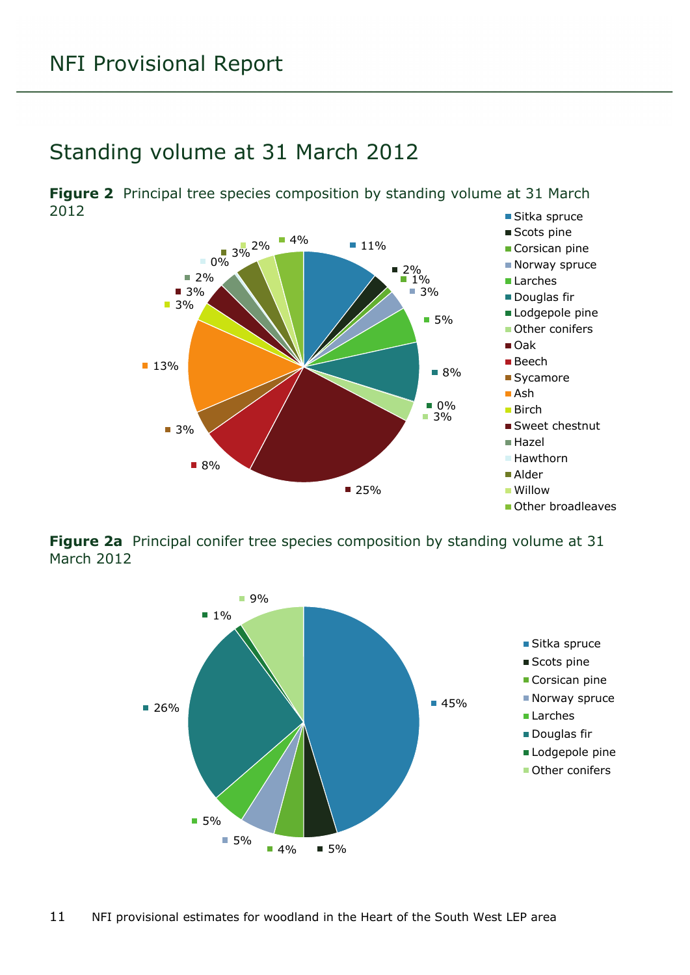### <span id="page-10-0"></span>Standing volume at 31 March 2012

<span id="page-10-1"></span>■ Sitka spruce **Figure 2** Principal tree species composition by standing volume at 31 March 2012



<span id="page-10-2"></span>**Figure 2a** Principal conifer tree species composition by standing volume at 31 March 2012

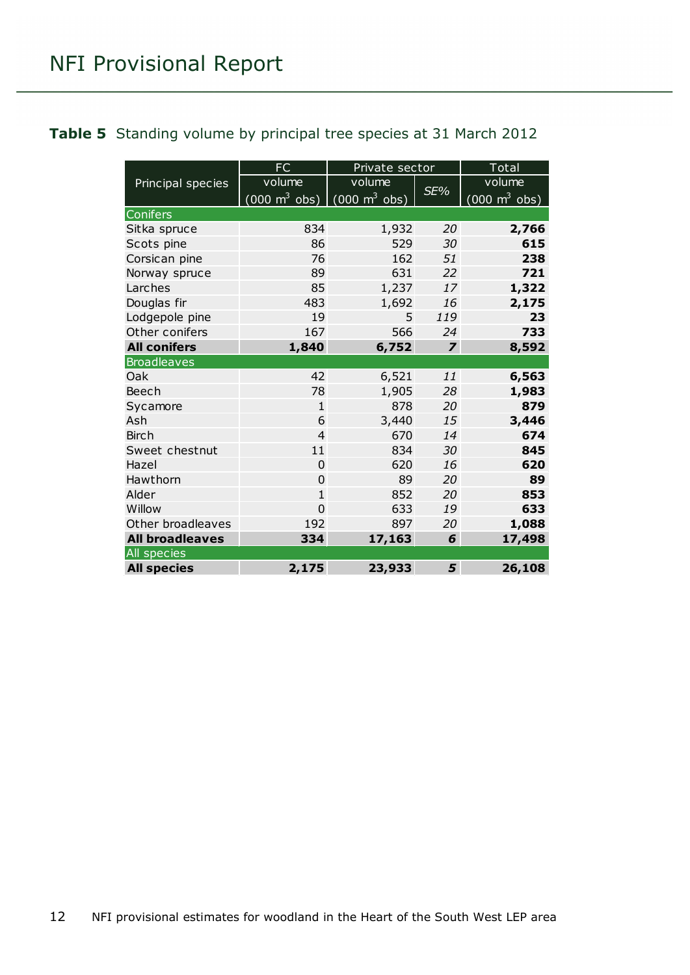#### <span id="page-11-0"></span>**Table 5** Standing volume by principal tree species at 31 March 2012

|                        | <b>FC</b>                                                | Private sector |                | Total                           |
|------------------------|----------------------------------------------------------|----------------|----------------|---------------------------------|
| Principal species      | volume                                                   | volume         |                | volume                          |
|                        | $(000 \text{ m}^3 \text{ obs})$ (000 m <sup>3</sup> obs) |                | SE%            | $(000 \text{ m}^3 \text{ obs})$ |
| Conifers               |                                                          |                |                |                                 |
| Sitka spruce           | 834                                                      | 1,932          | 20             | 2,766                           |
| Scots pine             | 86                                                       | 529            | 30             | 615                             |
| Corsican pine          | 76                                                       | 162            | 51             | 238                             |
| Norway spruce          | 89                                                       | 631            | 22             | 721                             |
| Larches                | 85                                                       | 1,237          | 17             | 1,322                           |
| Douglas fir            | 483                                                      | 1,692          | 16             | 2,175                           |
| Lodgepole pine         | 19                                                       | 5              | 119            | 23                              |
| Other conifers         | 167                                                      | 566            | 24             | 733                             |
| <b>All conifers</b>    | 1,840                                                    | 6,752          | $\overline{z}$ | 8,592                           |
| <b>Broadleaves</b>     |                                                          |                |                |                                 |
| Oak                    | 42                                                       | 6,521          | 11             | 6,563                           |
| Beech                  | 78                                                       | 1,905          | 28             | 1,983                           |
| Sycamore               | $\mathbf{1}$                                             | 878            | 20             | 879                             |
| Ash                    | 6                                                        | 3,440          | 15             | 3,446                           |
| <b>Birch</b>           | $\overline{4}$                                           | 670            | 14             | 674                             |
| Sweet chestnut         | 11                                                       | 834            | 30             | 845                             |
| Hazel                  | 0                                                        | 620            | 16             | 620                             |
| Hawthorn               | $\overline{0}$                                           | 89             | 20             | 89                              |
| Alder                  | $\mathbf{1}$                                             | 852            | 20             | 853                             |
| Willow                 | $\overline{0}$                                           | 633            | 19             | 633                             |
| Other broadleaves      | 192                                                      | 897            | 20             | 1,088                           |
| <b>All broadleaves</b> | 334                                                      | 17,163         | 6              | 17,498                          |
| All species            |                                                          |                |                |                                 |
| <b>All species</b>     | 2,175                                                    | 23,933         | 5              | 26,108                          |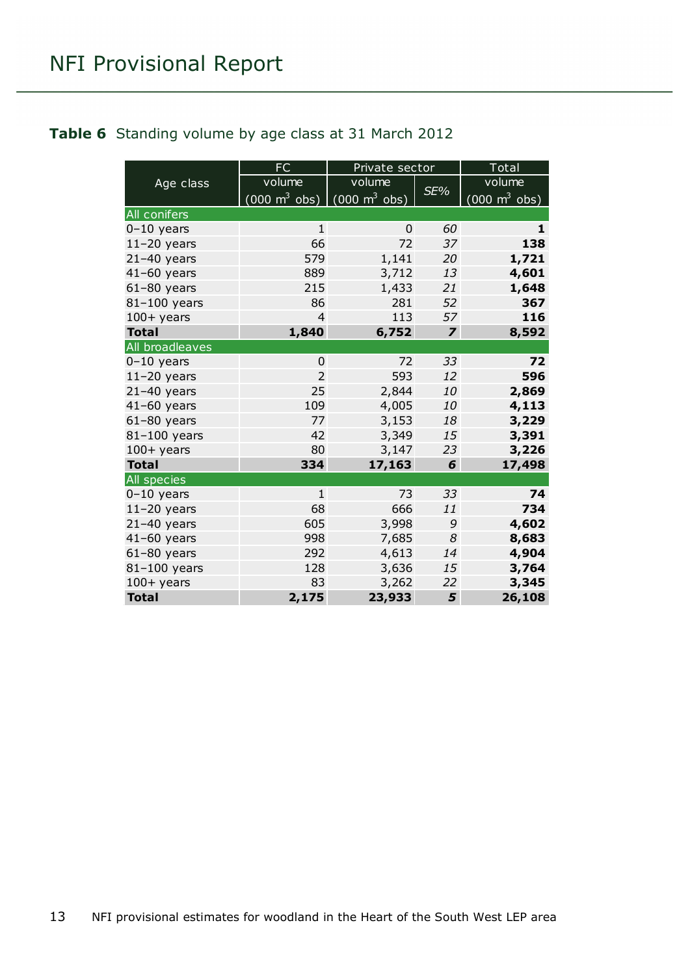#### <span id="page-12-0"></span>**Table 6** Standing volume by age class at 31 March 2012

|                     | <b>FC</b>                       | Private sector                  |                         | Total                               |
|---------------------|---------------------------------|---------------------------------|-------------------------|-------------------------------------|
| Age class           | volume                          | volume                          |                         | volume                              |
|                     | $(000 \text{ m}^3 \text{ obs})$ | $(000 \text{ m}^3 \text{ obs})$ | SE%                     | $(000 \; \text{m}^3 \; \text{obs})$ |
| <b>All conifers</b> |                                 |                                 |                         |                                     |
| $0-10$ years        | $\mathbf{1}$                    | $\Omega$                        | 60                      | 1                                   |
| $11-20$ years       | 66                              | 72                              | 37                      | 138                                 |
| $21-40$ years       | 579                             | 1,141                           | 20                      | 1,721                               |
| $41-60$ years       | 889                             | 3,712                           | 13                      | 4,601                               |
| $61-80$ years       | 215                             | 1,433                           | 21                      | 1,648                               |
| 81-100 years        | 86                              | 281                             | 52                      | 367                                 |
| $100+$ years        | 4                               | 113                             | 57                      | 116                                 |
| <b>Total</b>        | 1,840                           | 6,752                           | $\overline{\mathbf{z}}$ | 8,592                               |
| All broadleaves     |                                 |                                 |                         |                                     |
| $0-10$ years        | 0                               | 72                              | 33                      | 72                                  |
| $11-20$ years       | $\overline{2}$                  | 593                             | 12                      | 596                                 |
| $21-40$ years       | 25                              | 2,844                           | 10                      | 2,869                               |
| $41-60$ years       | 109                             | 4,005                           | 10                      | 4,113                               |
| $61-80$ years       | 77                              | 3,153                           | 18                      | 3,229                               |
| 81-100 years        | 42                              | 3,349                           | 15                      | 3,391                               |
| $100+$ years        | 80                              | 3,147                           | 23                      | 3,226                               |
| <b>Total</b>        | 334                             | 17,163                          | 6                       | 17,498                              |
| All species         |                                 |                                 |                         |                                     |
| $0-10$ years        | $\mathbf{1}$                    | 73                              | 33                      | 74                                  |
| $11-20$ years       | 68                              | 666                             | 11                      | 734                                 |
| $21-40$ years       | 605                             | 3,998                           | 9                       | 4,602                               |
| $41-60$ years       | 998                             | 7,685                           | 8                       | 8,683                               |
| $61-80$ years       | 292                             | 4,613                           | 14                      | 4,904                               |
| 81-100 years        | 128                             | 3,636                           | 15                      | 3,764                               |
| $100+$ years        | 83                              | 3,262                           | 22                      | 3,345                               |
| <b>Total</b>        | 2,175                           | 23,933                          | 5                       | 26,108                              |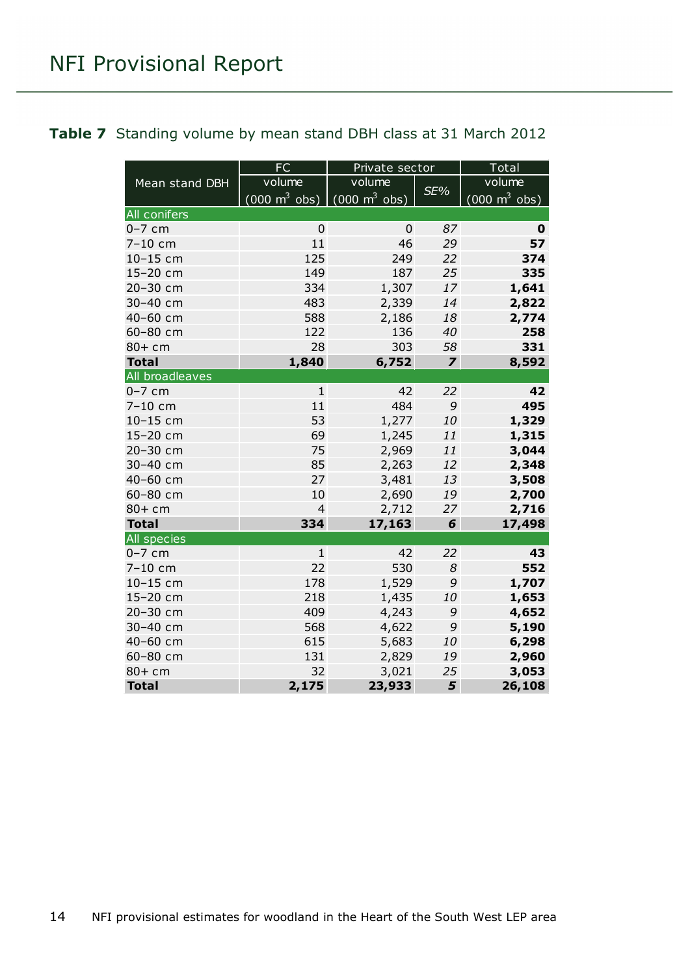#### <span id="page-13-0"></span>**Table 7** Standing volume by mean stand DBH class at 31 March 2012

|                    | <b>FC</b>                                                       | Private sector |                         | Total                           |
|--------------------|-----------------------------------------------------------------|----------------|-------------------------|---------------------------------|
| Mean stand DBH     | volume                                                          | volume         |                         | volume                          |
|                    | $(000 \text{ m}^3 \text{ obs})$ $(000 \text{ m}^3 \text{ obs})$ |                | SE%                     | $(000 \text{ m}^3 \text{ obs})$ |
| All conifers       |                                                                 |                |                         |                                 |
| $0-7$ cm           | $\Omega$                                                        | 0              | 87                      | 0                               |
| $7 - 10$ cm        | 11                                                              | 46             | 29                      | 57                              |
| 10-15 cm           | 125                                                             | 249            | 22                      | 374                             |
| 15-20 cm           | 149                                                             | 187            | 25                      | 335                             |
| 20-30 cm           | 334                                                             | 1,307          | 17                      | 1,641                           |
| 30-40 cm           | 483                                                             | 2,339          | 14                      | 2,822                           |
| 40-60 cm           | 588                                                             | 2,186          | 18                      | 2,774                           |
| 60-80 cm           | 122                                                             | 136            | 40                      | 258                             |
| $80+cm$            | 28                                                              | 303            | 58                      | 331                             |
| <b>Total</b>       | 1,840                                                           | 6,752          | $\overline{\mathbf{z}}$ | 8,592                           |
| All broadleaves    |                                                                 |                |                         |                                 |
| $0-7$ cm           | $\mathbf{1}$                                                    | 42             | 22                      | 42                              |
| 7-10 cm            | 11                                                              | 484            | 9                       | 495                             |
| 10-15 cm           | 53                                                              | 1,277          | 10                      | 1,329                           |
| 15-20 cm           | 69                                                              | 1,245          | 11                      | 1,315                           |
| 20-30 cm           | 75                                                              | 2,969          | 11                      | 3,044                           |
| 30-40 cm           | 85                                                              | 2,263          | 12                      | 2,348                           |
| 40-60 cm           | 27                                                              | 3,481          | 13                      | 3,508                           |
| 60-80 cm           | 10                                                              | 2,690          | 19                      | 2,700                           |
| $80+cm$            | $\overline{4}$                                                  | 2,712          | 27                      | 2,716                           |
| <b>Total</b>       | 334                                                             | 17,163         | 6                       | 17,498                          |
| <b>All species</b> |                                                                 |                |                         |                                 |
| $0-7$ cm           | $\mathbf{1}$                                                    | 42             | 22                      | 43                              |
| $7 - 10$ cm        | 22                                                              | 530            | 8                       | 552                             |
| 10-15 cm           | 178                                                             | 1,529          | 9                       | 1,707                           |
| 15-20 cm           | 218                                                             | 1,435          | 10                      | 1,653                           |
| 20-30 cm           | 409                                                             | 4,243          | 9                       | 4,652                           |
| 30-40 cm           | 568                                                             | 4,622          | 9                       | 5,190                           |
| 40-60 cm           | 615                                                             | 5,683          | 10                      | 6,298                           |
| 60-80 cm           | 131                                                             | 2,829          | 19                      | 2,960                           |
| $80+cm$            | 32                                                              | 3,021          | 25                      | 3,053                           |
| <b>Total</b>       | 2,175                                                           | 23,933         | 5                       | 26,108                          |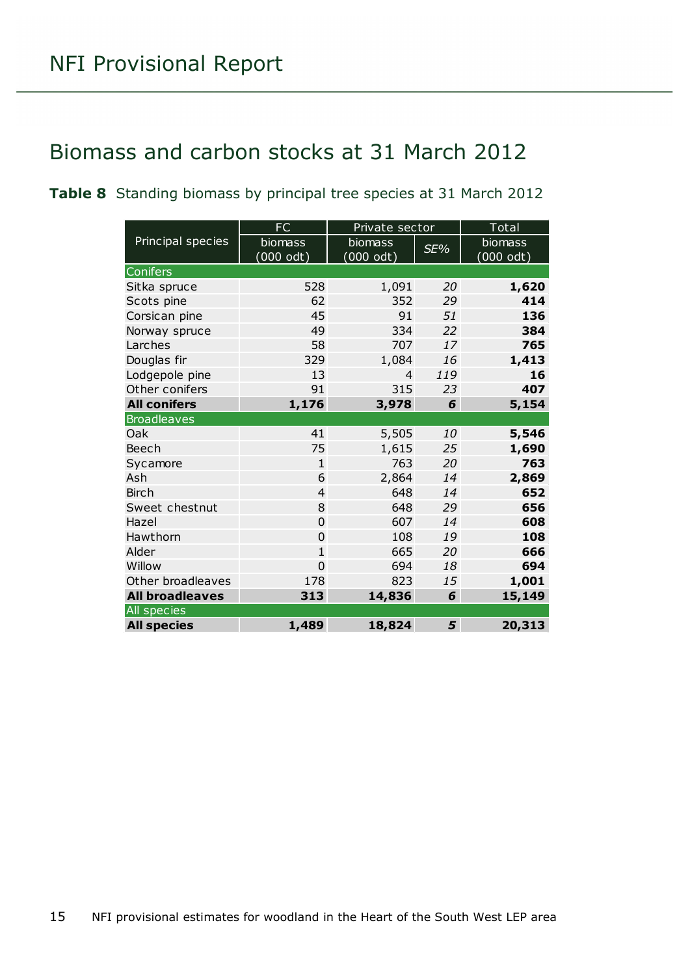### <span id="page-14-0"></span>Biomass and carbon stocks at 31 March 2012

<span id="page-14-1"></span>**Table 8** Standing biomass by principal tree species at 31 March 2012

|                        | FC             | Private sector |     | Total     |
|------------------------|----------------|----------------|-----|-----------|
| Principal species      | biomass        | biomass        | SE% | biomass   |
|                        | (000 odt)      | (000 odt)      |     | (000 odt) |
| Conifers               |                |                |     |           |
| Sitka spruce           | 528            | 1,091          | 20  | 1,620     |
| Scots pine             | 62             | 352            | 29  | 414       |
| Corsican pine          | 45             | 91             | 51  | 136       |
| Norway spruce          | 49             | 334            | 22  | 384       |
| Larches                | 58             | 707            | 17  | 765       |
| Douglas fir            | 329            | 1,084          | 16  | 1,413     |
| Lodgepole pine         | 13             | 4              | 119 | 16        |
| Other conifers         | 91             | 315            | 23  | 407       |
| <b>All conifers</b>    | 1,176          | 3,978          | 6   | 5,154     |
| <b>Broadleaves</b>     |                |                |     |           |
| Oak                    | 41             | 5,505          | 10  | 5,546     |
| Beech                  | 75             | 1,615          | 25  | 1,690     |
| Sycamore               | $\mathbf{1}$   | 763            | 20  | 763       |
| Ash                    | 6              | 2,864          | 14  | 2,869     |
| <b>Birch</b>           | $\overline{4}$ | 648            | 14  | 652       |
| Sweet chestnut         | 8              | 648            | 29  | 656       |
| Hazel                  | 0              | 607            | 14  | 608       |
| Hawthorn               | $\overline{0}$ | 108            | 19  | 108       |
| Alder                  | $\mathbf{1}$   | 665            | 20  | 666       |
| Willow                 | 0              | 694            | 18  | 694       |
| Other broadleaves      | 178            | 823            | 15  | 1,001     |
| <b>All broadleaves</b> | 313            | 14,836         | 6   | 15,149    |
| <b>All</b> species     |                |                |     |           |
| <b>All species</b>     | 1,489          | 18,824         | 5   | 20,313    |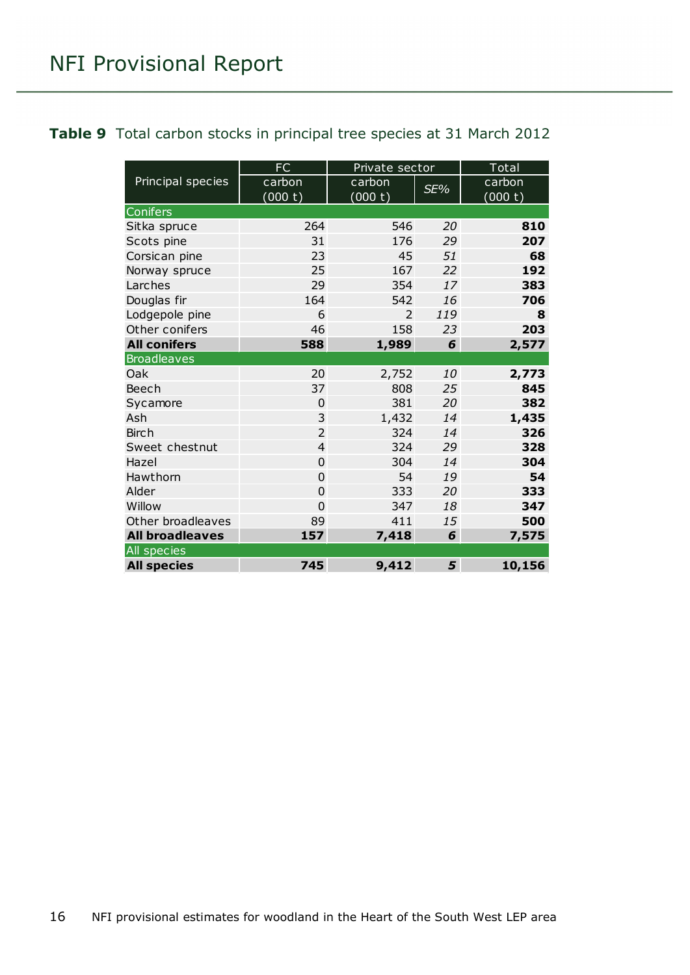#### <span id="page-15-0"></span>**Table 9** Total carbon stocks in principal tree species at 31 March 2012

|                        | FC             | Private sector |     | Total   |
|------------------------|----------------|----------------|-----|---------|
| Principal species      | carbon         | carbon         | SE% | carbon  |
|                        | (000 t)        | (000 t)        |     | (000 t) |
| Conifers               |                |                |     |         |
| Sitka spruce           | 264            | 546            | 20  | 810     |
| Scots pine             | 31             | 176            | 29  | 207     |
| Corsican pine          | 23             | 45             | 51  | 68      |
| Norway spruce          | 25             | 167            | 22  | 192     |
| Larches                | 29             | 354            | 17  | 383     |
| Douglas fir            | 164            | 542            | 16  | 706     |
| Lodgepole pine         | 6              | 2              | 119 | 8       |
| Other conifers         | 46             | 158            | 23  | 203     |
| <b>All conifers</b>    | 588            | 1,989          | 6   | 2,577   |
| <b>Broadleaves</b>     |                |                |     |         |
| Oak                    | 20             | 2,752          | 10  | 2,773   |
| Beech                  | 37             | 808            | 25  | 845     |
| Sycamore               | $\overline{0}$ | 381            | 20  | 382     |
| Ash                    | 3              | 1,432          | 14  | 1,435   |
| <b>Birch</b>           | $\overline{2}$ | 324            | 14  | 326     |
| Sweet chestnut         | $\overline{4}$ | 324            | 29  | 328     |
| Hazel                  | $\overline{0}$ | 304            | 14  | 304     |
| Hawthorn               | $\overline{0}$ | 54             | 19  | 54      |
| Alder                  | $\overline{0}$ | 333            | 20  | 333     |
| Willow                 | $\overline{0}$ | 347            | 18  | 347     |
| Other broadleaves      | 89             | 411            | 15  | 500     |
| <b>All broadleaves</b> | 157            | 7,418          | 6   | 7,575   |
| All species            |                |                |     |         |
| <b>All species</b>     | 745            | 9,412          | 5   | 10,156  |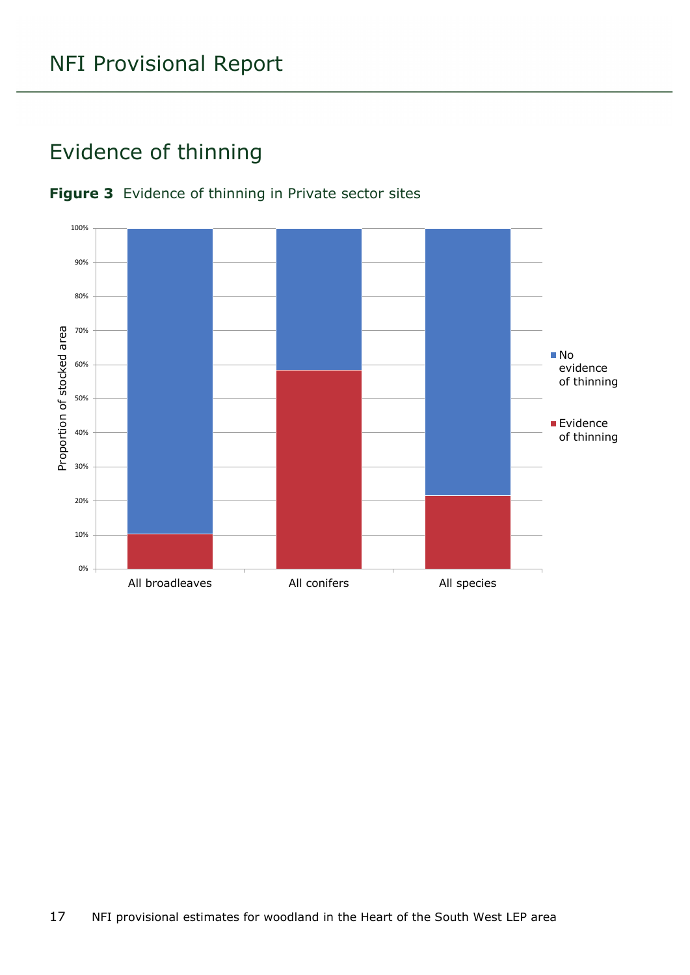### <span id="page-16-0"></span>Evidence of thinning



#### <span id="page-16-1"></span>**Figure 3** Evidence of thinning in Private sector sites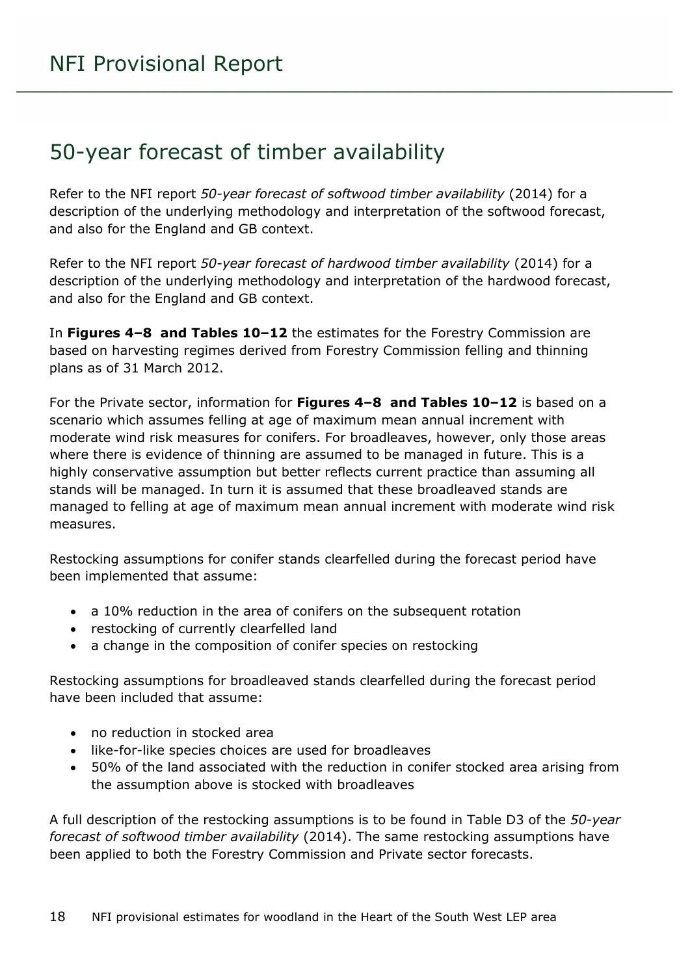### <span id="page-17-0"></span>50-year forecast of timber availability

Refer to the NFI report *50-year forecast of softwood timber availability* (2014) for a description of the underlying methodology and interpretation of the softwood forecast, and also for the England and GB context.

Refer to the NFI report *50-year forecast of hardwood timber availability* (2014) for a description of the underlying methodology and interpretation of the hardwood forecast, and also for the England and GB context.

In **Figures 4–8 and Tables 10–12** the estimates for the Forestry Commission are based on harvesting regimes derived from Forestry Commission felling and thinning plans as of 31 March 2012.

For the Private sector, information for **Figures 4–8 and Tables 10–12** is based on a scenario which assumes felling at age of maximum mean annual increment with moderate wind risk measures for conifers. For broadleaves, however, only those areas where there is evidence of thinning are assumed to be managed in future. This is a highly conservative assumption but better reflects current practice than assuming all stands will be managed. In turn it is assumed that these broadleaved stands are managed to felling at age of maximum mean annual increment with moderate wind risk measures.

Restocking assumptions for conifer stands clearfelled during the forecast period have been implemented that assume:

- a 10% reduction in the area of conifers on the subsequent rotation
- restocking of currently clearfelled land
- a change in the composition of conifer species on restocking

Restocking assumptions for broadleaved stands clearfelled during the forecast period have been included that assume:

- no reduction in stocked area
- like-for-like species choices are used for broadleaves
- 50% of the land associated with the reduction in conifer stocked area arising from the assumption above is stocked with broadleaves

A full description of the restocking assumptions is to be found in Table D3 of the *50-year forecast of softwood timber availability* (2014). The same restocking assumptions have been applied to both the Forestry Commission and Private sector forecasts.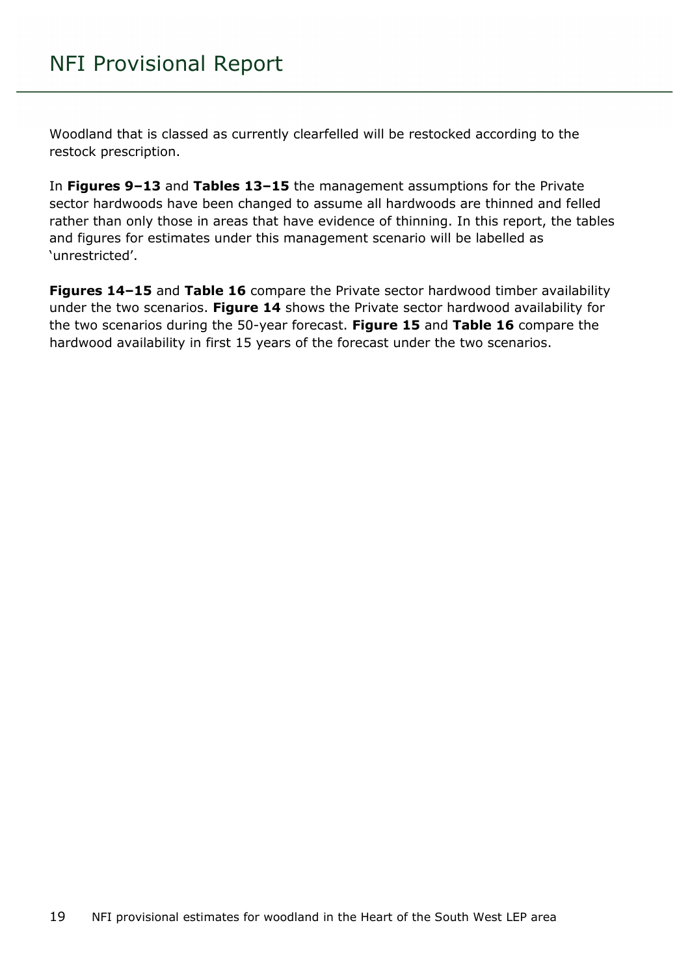Woodland that is classed as currently clearfelled will be restocked according to the restock prescription.

In **Figures 9–13** and **Tables 13–15** the management assumptions for the Private sector hardwoods have been changed to assume all hardwoods are thinned and felled rather than only those in areas that have evidence of thinning. In this report, the tables and figures for estimates under this management scenario will be labelled as 'unrestricted'.

**Figures 14–15** and **Table 16** compare the Private sector hardwood timber availability under the two scenarios. **Figure 14** shows the Private sector hardwood availability for the two scenarios during the 50-year forecast. **Figure 15** and **Table 16** compare the hardwood availability in first 15 years of the forecast under the two scenarios.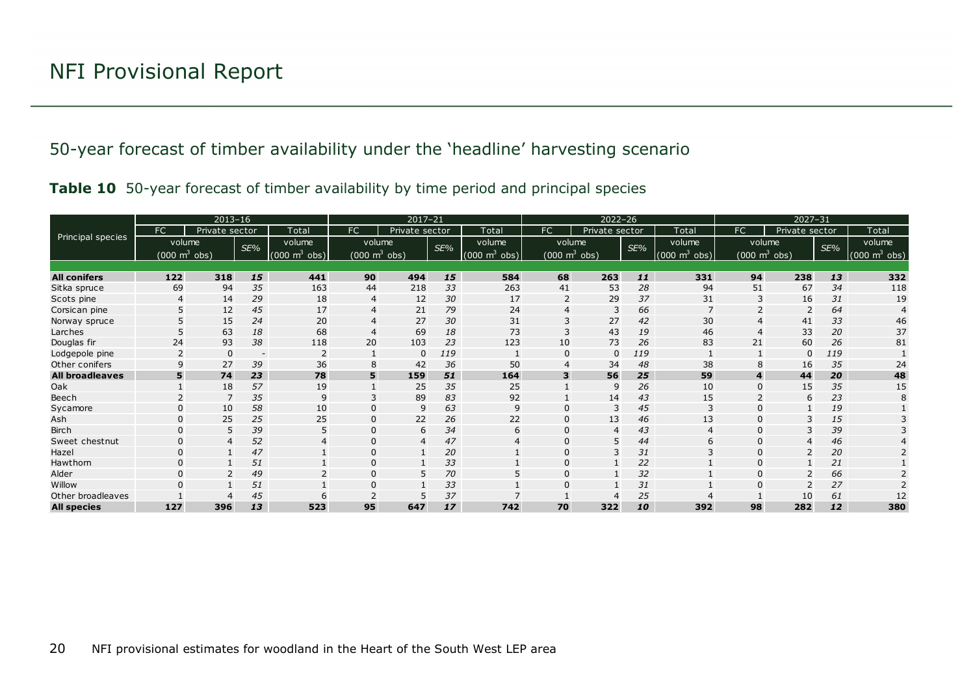#### 50-year forecast of timber availability under the 'headline' harvesting scenario

| Table 10 50-year forecast of timber availability by time period and principal species |  |  |  |  |  |  |  |  |  |  |  |
|---------------------------------------------------------------------------------------|--|--|--|--|--|--|--|--|--|--|--|
|---------------------------------------------------------------------------------------|--|--|--|--|--|--|--|--|--|--|--|

<span id="page-19-1"></span><span id="page-19-0"></span>

|                        |                                     | $2013 - 16$    |                          |                                 |                                 | 2017-21<br>$2022 - 26$ |     |                               |                                 |                | $2027 - 31$ |                                 |                       |                                 |     |                                 |
|------------------------|-------------------------------------|----------------|--------------------------|---------------------------------|---------------------------------|------------------------|-----|-------------------------------|---------------------------------|----------------|-------------|---------------------------------|-----------------------|---------------------------------|-----|---------------------------------|
|                        | FC                                  | Private sector |                          | Total                           | <b>FC</b>                       | Private sector         |     | Total                         | FC.                             | Private sector |             | Total                           | FC                    | Private sector                  |     | Total                           |
| Principal species      |                                     | volume         | SE%                      | volume                          | volume                          |                        | SE% | volume                        | volume                          |                | SE%         | volume                          |                       | volume                          | SE% | volume                          |
|                        | $(000 \; \text{m}^3 \; \text{obs})$ |                |                          | $(000 \text{ m}^3 \text{ obs})$ | $(000 \text{ m}^3 \text{ obs})$ |                        |     | $(000 \; \text{m}^3)$<br>obs) | $(000 \text{ m}^3 \text{ obs})$ |                |             | $(000 \text{ m}^3 \text{ obs})$ |                       | $(000 \text{ m}^3 \text{ obs})$ |     | $(000 \text{ m}^3 \text{ obs})$ |
|                        |                                     |                |                          |                                 |                                 |                        |     |                               |                                 |                |             |                                 |                       |                                 |     |                                 |
| <b>All conifers</b>    | 122                                 | 318            | 15                       | 441                             | 90                              | 494                    | 15  | 584                           | 68                              | 263            | 11          | 331                             | 94                    | 238                             | 13  | 332                             |
| Sitka spruce           | 69                                  | 94             | 35                       | 163                             | 44                              | 218                    | 33  | 263                           | 41                              | 53             | 28          | 94                              | 51                    | 67                              | 34  | 118                             |
| Scots pine             | 4                                   | 14             | 29                       | 18                              | 4                               | 12                     | 30  | 17                            |                                 | 29             | 37          | 31                              |                       | 16                              | 31  | 19                              |
| Corsican pine          |                                     | 12             | 45                       | 17                              | 4                               | 21                     | 79  | 24                            |                                 | 3              | 66          |                                 |                       |                                 | 64  |                                 |
| Norway spruce          |                                     | 15             | 24                       | 20                              |                                 | 27                     | 30  | 31                            |                                 | 27             | 42          | 30                              |                       | 41                              | 33  | 46                              |
| Larches                |                                     | 63             | 18                       | 68                              | $\overline{4}$                  | 69                     | 18  | 73                            |                                 | 43             | 19          | 46                              | $\boldsymbol{\Delta}$ | 33                              | 20  | 37                              |
| Douglas fir            | 24                                  | 93             | 38                       | 118                             | 20                              | 103                    | 23  | 123                           | 10                              | 73             | 26          | 83                              | 21                    | 60                              | 26  | 81                              |
| Lodgepole pine         |                                     | $\Omega$       | $\overline{\phantom{a}}$ |                                 |                                 | $\Omega$               | 119 |                               |                                 | $\Omega$       | 119         |                                 |                       | 0                               | 119 |                                 |
| Other conifers         | 9                                   | 27             | 39                       | 36                              | 8                               | 42                     | 36  | 50                            |                                 | 34             | 48          | 38                              |                       | 16                              | 35  | 24                              |
| <b>All broadleaves</b> | 5                                   | 74             | 23                       | 78                              | 5                               | 159                    | 51  | 164                           |                                 | 56             | 25          | 59                              | 4                     | 44                              | 20  | 48                              |
| Oak                    |                                     | 18             | 57                       | 19                              |                                 | 25                     | 35  | 25                            |                                 | $\mathsf{Q}$   | 26          | 10                              | $\Omega$              | 15                              | 35  | 15                              |
| Beech                  |                                     | $\overline{7}$ | 35                       | $\mathsf{q}$                    | 3                               | 89                     | 83  | 92                            |                                 | 14             | 43          | 15                              |                       | 6                               | 23  |                                 |
| Sycamore               | $\Omega$                            | 10             | 58                       | 10                              | $\Omega$                        | 9                      | 63  | 9                             | O                               | 3              | 45          | 3                               | O                     |                                 | 19  |                                 |
| Ash                    | 0                                   | 25             | 25                       | 25                              | $\mathbf 0$                     | 22                     | 26  | 22                            |                                 | 13             | 46          | 13                              |                       |                                 | 15  |                                 |
| <b>Birch</b>           |                                     | 5              | 39                       |                                 | $\Omega$                        | 6                      | 34  | 6                             |                                 | 4              | 43          |                                 |                       |                                 | 39  |                                 |
| Sweet chestnut         | $\Omega$                            | $\overline{4}$ | 52                       |                                 | $\Omega$                        | $\overline{4}$         | 47  |                               |                                 | 5              | 44          | 6                               |                       |                                 | 46  |                                 |
| Hazel                  | $\Omega$                            |                | 47                       |                                 | $\Omega$                        | $\mathbf{1}$           | 20  |                               |                                 | 3              | 31          |                                 |                       |                                 | 20  |                                 |
| Hawthorn               |                                     |                | 51                       |                                 | 0                               |                        | 33  |                               |                                 |                | 22          |                                 |                       |                                 | 21  |                                 |
| Alder                  |                                     |                | 49                       |                                 | $\Omega$                        | 5                      | 70  |                               |                                 |                | 32          |                                 |                       |                                 | 66  |                                 |
| Willow                 |                                     |                | 51                       |                                 | $\Omega$                        |                        | 33  |                               | O                               |                | 31          |                                 |                       |                                 | 27  |                                 |
| Other broadleaves      |                                     |                | 45                       |                                 |                                 |                        | 37  |                               |                                 | 4              | 25          |                                 |                       | 10                              | 61  | 12                              |
| <b>All species</b>     | 127                                 | 396            | 13                       | 523                             | 95                              | 647                    | 17  | 742                           | 70                              | 322            | 10          | 392                             | 98                    | 282                             | 12  | 380                             |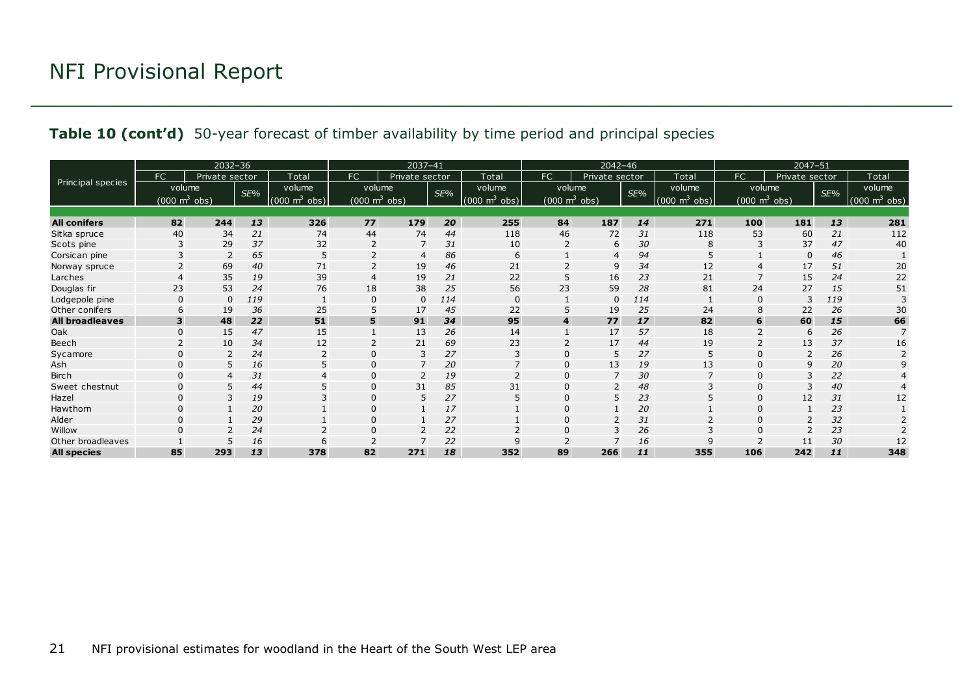#### **Table 10 (cont'd)** 50-year forecast of timber availability by time period and principal species

|                        |                                     | 2032-36        |     |                                 |                                 | 2037-41        |     |                               | $2042 - 46$                         |                |     |                                 | $2047 - 51$            |                |     |                                 |
|------------------------|-------------------------------------|----------------|-----|---------------------------------|---------------------------------|----------------|-----|-------------------------------|-------------------------------------|----------------|-----|---------------------------------|------------------------|----------------|-----|---------------------------------|
|                        | FC                                  | Private sector |     | Total                           | <b>FC</b>                       | Private sector |     | Total                         | FC.                                 | Private sector |     | Total                           | FC                     | Private sector |     | Total                           |
| Principal species      | volume                              |                | SE% | volume                          | volume                          |                | SE% | volume                        | volume                              |                | SE% | volume                          | volume                 |                | SE% | volume                          |
|                        | $(000 \; \text{m}^3 \; \text{obs})$ |                |     | $(000 \text{ m}^3 \text{ obs})$ | $(000 \text{ m}^3 \text{ obs})$ |                |     | $(000 \; \text{m}^3)$<br>obs) | $(000 \; \text{m}^3 \; \text{obs})$ |                |     | $(000 \text{ m}^3 \text{ obs})$ | (000 $\text{m}^3$ obs) |                |     | $(000 \text{ m}^3 \text{ obs})$ |
|                        |                                     |                |     |                                 |                                 |                |     |                               |                                     |                |     |                                 |                        |                |     |                                 |
| <b>All conifers</b>    | 82                                  | 244            | 13  | 326                             | 77                              | 179            | 20  | 255                           | 84                                  | 187            | 14  | 271                             | 100                    | 181            | 13  | 281                             |
| Sitka spruce           | 40                                  | 34             | 21  | 74                              | 44                              | 74             | 44  | 118                           | 46                                  | 72             | 31  | 118                             | 53                     | 60             | 21  | 112                             |
| Scots pine             |                                     | 29             | 37  | 32                              | $\overline{2}$                  | 7              | 31  | 10                            | $\overline{2}$                      | 6              | 30  | 8                               | 3                      | 37             | 47  | 40                              |
| Corsican pine          |                                     | 2              | 65  | 5                               | 2                               | $\overline{4}$ | 86  | 6                             |                                     | 4              | 94  |                                 |                        | 0              | 46  |                                 |
| Norway spruce          |                                     | 69             | 40  | 71                              |                                 | 19             | 46  | 21                            |                                     | 9              | 34  | 12                              |                        | 17             | 51  | 20                              |
| Larches                |                                     | 35             | 19  | 39                              | $\overline{4}$                  | 19             | 21  | 22                            |                                     | 16             | 23  | 21                              |                        | 15             | 24  | 22                              |
| Douglas fir            | 23                                  | 53             | 24  | 76                              | 18                              | 38             | 25  | 56                            | 23                                  | 59             | 28  | 81                              | 24                     | 27             | 15  | 51                              |
| Lodgepole pine         | $\mathbf{0}$                        | $\Omega$       | 119 |                                 | 0                               | $\mathbf 0$    | 114 | $\Omega$                      |                                     | $\mathbf 0$    | 114 |                                 | $\Omega$               |                | 119 |                                 |
| Other conifers         | 6                                   | 19             | 36  | 25                              | 5                               | 17             | 45  | 22                            |                                     | 19             | 25  | 24                              | 8                      | 22             | 26  | 30                              |
| <b>All broadleaves</b> | 3                                   | 48             | 22  | 51                              | 5                               | 91             | 34  | 95                            | 4                                   | 77             | 17  | 82                              | 6                      | 60             | 15  | 66                              |
| Oak                    | $\mathbf{0}$                        | 15             | 47  | 15                              |                                 | 13             | 26  | 14                            |                                     | 17             | 57  | 18                              |                        | 6              | 26  | $\overline{7}$                  |
| Beech                  |                                     | 10             | 34  | 12                              |                                 | 21             | 69  | 23                            |                                     | 17             | 44  | 19                              |                        | 13             | 37  | 16                              |
| Sycamore               |                                     | $\overline{2}$ | 24  | 2                               | $\Omega$                        | 3              | 27  | 3                             |                                     | 5              | 27  | 5                               | $\mathbf 0$            |                | 26  |                                 |
| Ash                    | $\Omega$                            | 5              | 16  |                                 | $\Omega$                        | $\overline{7}$ | 20  | $\overline{7}$                | $\Omega$                            | 13             | 19  | 13                              | $\Omega$               | 9              | 20  | $\mathsf{Q}$                    |
| <b>Birch</b>           | $\Omega$                            |                | 31  | 4                               | 0                               | 2              | 19  | $\overline{\phantom{0}}$      |                                     | 7              | 30  |                                 | $\Omega$               |                | 22  |                                 |
| Sweet chestnut         | $\Omega$                            | 5              | 44  |                                 | $\Omega$                        | 31             | 85  | 31                            |                                     | $\overline{2}$ | 48  |                                 | 0                      |                | 40  |                                 |
| Hazel                  | $\Omega$                            | 3              | 19  |                                 | $\Omega$                        | 5              | 27  | 5                             | $\Omega$                            | 5              | 23  |                                 | $\Omega$               | 12             | 31  | 12                              |
| Hawthorn               | $\Omega$                            |                | 20  |                                 | $\Omega$                        | 1              | 17  |                               |                                     |                | 20  |                                 | $\Omega$               |                | 23  |                                 |
| Alder                  | 0                                   |                | 29  |                                 | $\Omega$                        |                | 27  |                               |                                     | 2              | 31  |                                 | 0                      |                | 32  |                                 |
| Willow                 |                                     |                | 24  |                                 | 0                               | $\overline{2}$ | 22  |                               |                                     | 3              | 26  |                                 |                        |                | 23  |                                 |
| Other broadleaves      |                                     |                | 16  |                                 |                                 | ⇁              | 22  | q                             |                                     | $\overline{7}$ | 16  |                                 |                        |                | 30  | 12                              |
| <b>All species</b>     | 85                                  | 293            | 13  | 378                             | 82                              | 271            | 18  | 352                           | 89                                  | 266            | 11  | 355                             | 106                    | 242            | 11  | 348                             |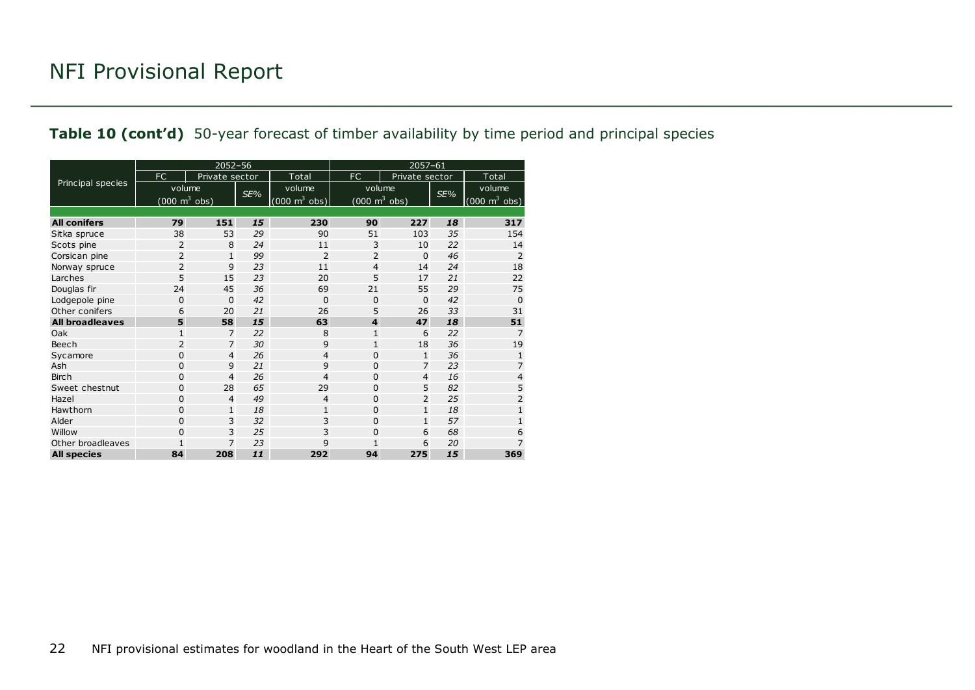#### **Table 10 (cont'd)** 50-year forecast of timber availability by time period and principal species

|                        |                                 | $2052 - 56$    |     |                                 | 2057-61                         |                |     |                                     |  |  |  |
|------------------------|---------------------------------|----------------|-----|---------------------------------|---------------------------------|----------------|-----|-------------------------------------|--|--|--|
|                        | <b>FC</b>                       | Private sector |     | Total                           | FC                              | Private sector |     | Total                               |  |  |  |
| Principal species      | volume                          |                | SE% | volume                          | volume                          |                | SE% | volume                              |  |  |  |
|                        | $(000 \text{ m}^3 \text{ obs})$ |                |     | $(000 \text{ m}^3 \text{ obs})$ | $(000 \text{ m}^3 \text{ obs})$ |                |     | $(000 \; \text{m}^3 \; \text{obs})$ |  |  |  |
|                        |                                 |                |     |                                 |                                 |                |     |                                     |  |  |  |
| <b>All conifers</b>    | 79                              | 151            | 15  | 230                             | 90                              | 227            | 18  | 317                                 |  |  |  |
| Sitka spruce           | 38                              | 53             | 29  | 90                              | 51                              | 103            | 35  | 154                                 |  |  |  |
| Scots pine             | 2                               | 8              | 24  | 11                              | 3                               | 10             | 22  | 14                                  |  |  |  |
| Corsican pine          | 2                               | $\mathbf{1}$   | 99  | $\overline{2}$                  | 2                               | $\Omega$       | 46  | $\overline{2}$                      |  |  |  |
| Norway spruce          | $\overline{2}$                  | 9              | 23  | 11                              | $\overline{4}$                  | 14             | 24  | 18                                  |  |  |  |
| Larches                | 5                               | 15             | 23  | 20                              | 5                               | 17             | 21  | 22                                  |  |  |  |
| Douglas fir            | 24                              | 45             | 36  | 69                              | 21                              | 55             | 29  | 75                                  |  |  |  |
| Lodgepole pine         | $\mathbf 0$                     | $\mathbf 0$    | 42  | 0                               | $\mathbf 0$                     | $\mathbf 0$    | 42  | $\mathbf 0$                         |  |  |  |
| Other conifers         | 6                               | 20             | 21  | 26                              | 5                               | 26             | 33  | 31                                  |  |  |  |
| <b>All broadleaves</b> | 5                               | 58             | 15  | 63                              | $\overline{\mathbf{4}}$         | 47             | 18  | 51                                  |  |  |  |
| Oak                    | $\mathbf{1}$                    | $\overline{7}$ | 22  | 8                               | $\mathbf{1}$                    | 6              | 22  | $\overline{7}$                      |  |  |  |
| Beech                  | 2                               | $\overline{7}$ | 30  | 9                               | $\mathbf{1}$                    | 18             | 36  | 19                                  |  |  |  |
| Sycamore               | 0                               | $\overline{4}$ | 26  | 4                               | 0                               | $\mathbf{1}$   | 36  | $\mathbf{1}$                        |  |  |  |
| Ash                    | $\mathbf 0$                     | 9              | 21  | 9                               | $\Omega$                        | $\overline{7}$ | 23  | 7                                   |  |  |  |
| <b>Birch</b>           | $\mathbf 0$                     | $\overline{4}$ | 26  | 4                               | $\mathbf 0$                     | $\overline{4}$ | 16  | $\overline{\mathbf{4}}$             |  |  |  |
| Sweet chestnut         | 0                               | 28             | 65  | 29                              | $\Omega$                        | 5              | 82  | 5                                   |  |  |  |
| Hazel                  | $\mathbf 0$                     | $\overline{4}$ | 49  | 4                               | $\Omega$                        | $\overline{2}$ | 25  | $\overline{2}$                      |  |  |  |
| Hawthorn               | $\mathbf 0$                     | $\mathbf{1}$   | 18  | $\mathbf{1}$                    | $\Omega$                        | $\mathbf{1}$   | 18  | $\mathbf{1}$                        |  |  |  |
| Alder                  | 0                               | 3              | 32  | 3                               | $\Omega$                        | $\mathbf{1}$   | 57  | $\mathbf{1}$                        |  |  |  |
| Willow                 | $\overline{0}$                  | 3              | 25  | 3                               | 0                               | 6              | 68  | 6                                   |  |  |  |
| Other broadleaves      | 1                               | $\overline{7}$ | 23  | 9                               | 1                               | 6              | 20  | 7                                   |  |  |  |
| <b>All species</b>     | 84                              | 208            | 11  | 292                             | 94                              | 275            | 15  | 369                                 |  |  |  |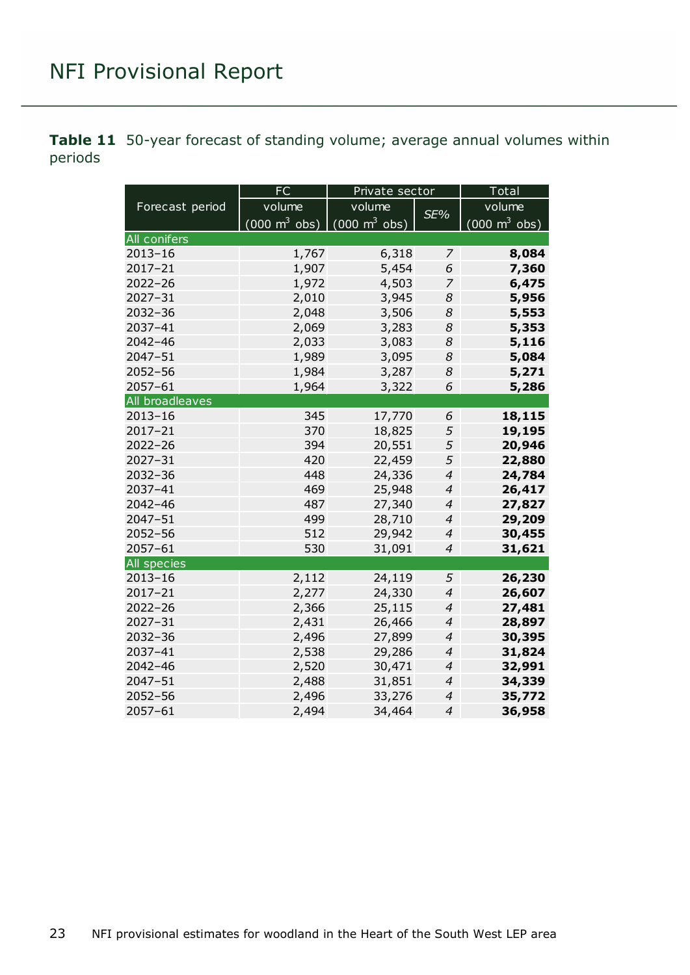<span id="page-22-0"></span>**Table 11** 50-year forecast of standing volume; average annual volumes within periods

|                 | <b>FC</b>                       | Private sector                      | Total          |                                     |  |
|-----------------|---------------------------------|-------------------------------------|----------------|-------------------------------------|--|
| Forecast period | volume                          | volume                              | SE%            | volume                              |  |
|                 | $(000 \text{ m}^3 \text{ obs})$ | $(000 \; \text{m}^3 \; \text{obs})$ |                | $(000 \; \text{m}^3 \; \text{obs})$ |  |
| All conifers    |                                 |                                     |                |                                     |  |
| $2013 - 16$     | 1,767                           | 6,318                               | 7              | 8,084                               |  |
| $2017 - 21$     | 1,907                           | 5,454                               | 6              | 7,360                               |  |
| $2022 - 26$     | 1,972                           | 4,503                               | 7              | 6,475                               |  |
| $2027 - 31$     | 2,010                           | 3,945                               | 8              | 5,956                               |  |
| $2032 - 36$     | 2,048                           | 3,506                               | 8              | 5,553                               |  |
| 2037-41         | 2,069                           | 3,283                               | 8              | 5,353                               |  |
| $2042 - 46$     | 2,033                           | 3,083                               | 8              | 5,116                               |  |
| $2047 - 51$     | 1,989                           | 3,095                               | 8              | 5,084                               |  |
| $2052 - 56$     | 1,984                           | 3,287                               | 8              | 5,271                               |  |
| 2057-61         | 1,964                           | 3,322                               | 6              | 5,286                               |  |
| All broadleaves |                                 |                                     |                |                                     |  |
| $2013 - 16$     | 345                             | 17,770                              | 6              | 18,115                              |  |
| $2017 - 21$     | 370                             | 18,825                              | 5              | 19,195                              |  |
| $2022 - 26$     | 394                             | 20,551                              | 5              | 20,946                              |  |
| $2027 - 31$     | 420                             | 22,459                              | 5              | 22,880                              |  |
| 2032-36         | 448                             | 24,336                              | $\overline{4}$ | 24,784                              |  |
| 2037-41         | 469                             | 25,948                              | $\overline{4}$ | 26,417                              |  |
| 2042-46         | 487                             | 27,340                              | $\overline{4}$ | 27,827                              |  |
| $2047 - 51$     | 499                             | 28,710                              | $\overline{4}$ | 29,209                              |  |
| $2052 - 56$     | 512                             | 29,942                              | $\overline{4}$ | 30,455                              |  |
| 2057-61         | 530                             | 31,091                              | $\overline{4}$ | 31,621                              |  |
| All species     |                                 |                                     |                |                                     |  |
| $2013 - 16$     | 2,112                           | 24,119                              | 5              | 26,230                              |  |
| $2017 - 21$     | 2,277                           | 24,330                              | $\overline{4}$ | 26,607                              |  |
| $2022 - 26$     | 2,366                           | 25,115                              | $\overline{4}$ | 27,481                              |  |
| $2027 - 31$     | 2,431                           | 26,466                              | $\overline{4}$ | 28,897                              |  |
| $2032 - 36$     | 2,496                           | 27,899                              | $\overline{4}$ | 30,395                              |  |
| 2037-41         | 2,538                           | 29,286                              | $\overline{4}$ | 31,824                              |  |
| $2042 - 46$     | 2,520                           | 30,471                              | $\overline{4}$ | 32,991                              |  |
| $2047 - 51$     | 2,488                           | 31,851                              | $\overline{4}$ | 34,339                              |  |
| $2052 - 56$     | 2,496                           | 33,276                              | $\overline{4}$ | 35,772                              |  |
| 2057-61         | 2,494                           | 34,464                              | $\overline{4}$ | 36,958                              |  |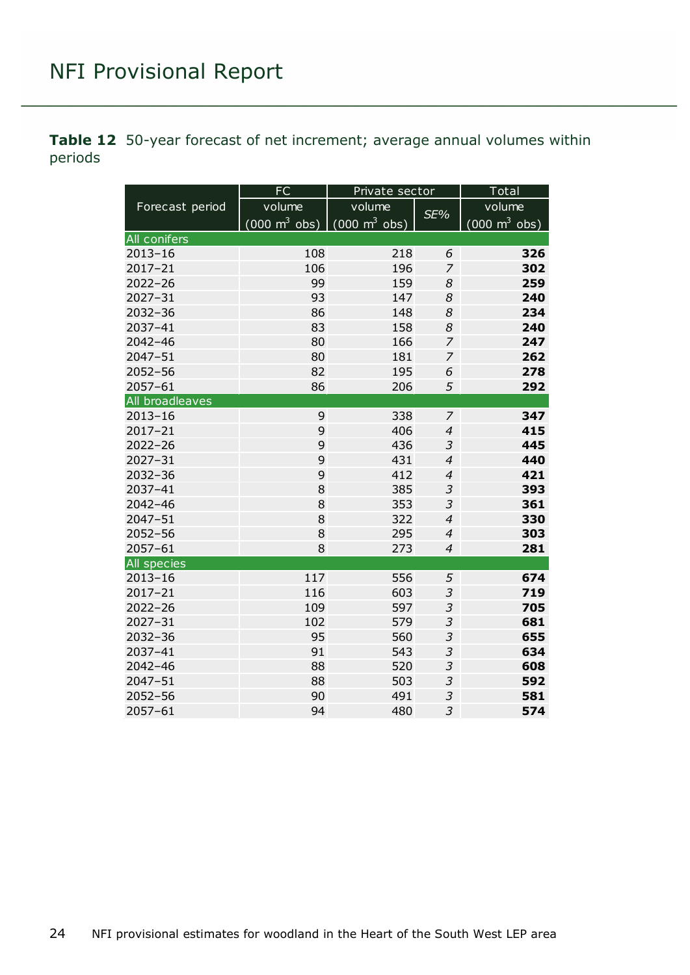<span id="page-23-0"></span>**Table 12** 50-year forecast of net increment; average annual volumes within periods

|                 | <b>FC</b>                                                | Private sector |                | Total                           |
|-----------------|----------------------------------------------------------|----------------|----------------|---------------------------------|
| Forecast period | volume                                                   | volume         | SE%            | volume                          |
|                 | $(000 \text{ m}^3 \text{ obs})$ (000 m <sup>3</sup> obs) |                |                | $(000 \text{ m}^3 \text{ obs})$ |
| All conifers    |                                                          |                |                |                                 |
| $2013 - 16$     | 108                                                      | 218            | 6              | 326                             |
| 2017-21         | 106                                                      | 196            | 7              | 302                             |
| $2022 - 26$     | 99                                                       | 159            | 8              | 259                             |
| 2027-31         | 93                                                       | 147            | 8              | 240                             |
| 2032-36         | 86                                                       | 148            | 8              | 234                             |
| 2037-41         | 83                                                       | 158            | 8              | 240                             |
| $2042 - 46$     | 80                                                       | 166            | $\overline{z}$ | 247                             |
| 2047-51         | 80                                                       | 181            | $\overline{z}$ | 262                             |
| $2052 - 56$     | 82                                                       | 195            | 6              | 278                             |
| $2057 - 61$     | 86                                                       | 206            | 5              | 292                             |
| All broadleaves |                                                          |                |                |                                 |
| $2013 - 16$     | 9                                                        | 338            | $\overline{z}$ | 347                             |
| 2017-21         | 9                                                        | 406            | $\overline{4}$ | 415                             |
| $2022 - 26$     | 9                                                        | 436            | 3              | 445                             |
| $2027 - 31$     | 9                                                        | 431            | $\overline{4}$ | 440                             |
| 2032-36         | 9                                                        | 412            | $\overline{4}$ | 421                             |
| 2037-41         | 8                                                        | 385            | 3              | 393                             |
| $2042 - 46$     | 8                                                        | 353            | $\overline{3}$ | 361                             |
| $2047 - 51$     | 8                                                        | 322            | $\overline{4}$ | 330                             |
| $2052 - 56$     | 8                                                        | 295            | $\overline{4}$ | 303                             |
| 2057-61         | 8                                                        | 273            | $\overline{4}$ | 281                             |
| All species     |                                                          |                |                |                                 |
| $2013 - 16$     | 117                                                      | 556            | 5              | 674                             |
| $2017 - 21$     | 116                                                      | 603            | $\mathfrak{Z}$ | 719                             |
| $2022 - 26$     | 109                                                      | 597            | $\mathfrak{Z}$ | 705                             |
| $2027 - 31$     | 102                                                      | 579            | $\mathfrak{Z}$ | 681                             |
| $2032 - 36$     | 95                                                       | 560            | $\mathfrak{Z}$ | 655                             |
| 2037-41         | 91                                                       | 543            | $\mathfrak{Z}$ | 634                             |
| $2042 - 46$     | 88                                                       | 520            | $\mathfrak{Z}$ | 608                             |
| 2047-51         | 88                                                       | 503            | 3              | 592                             |
| 2052-56         | 90                                                       | 491            | 3              | 581                             |
| 2057-61         | 94                                                       | 480            | $\overline{3}$ | 574                             |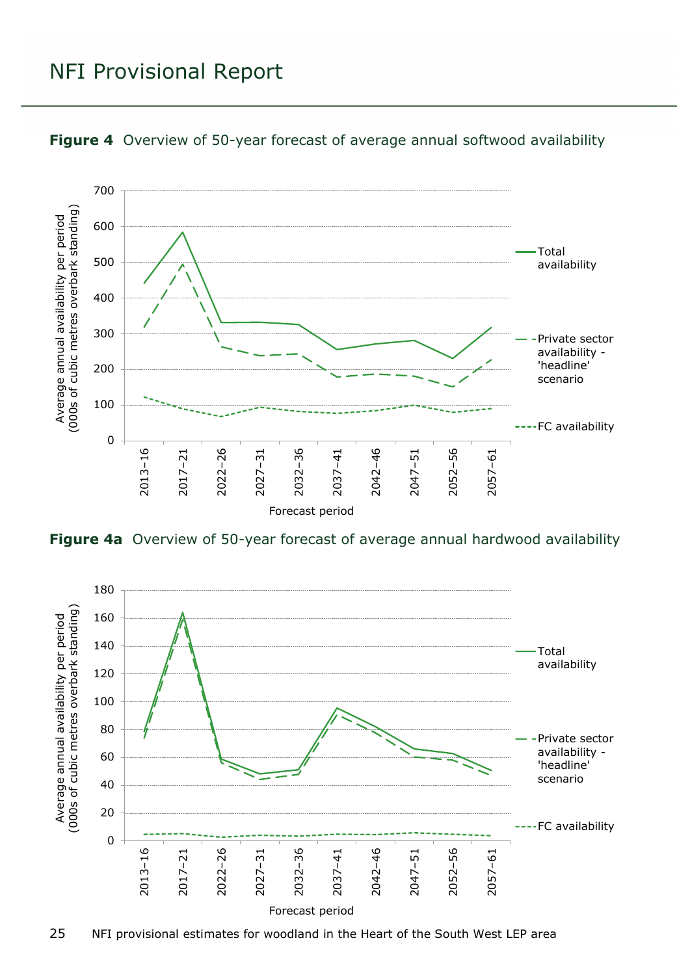

<span id="page-24-0"></span>

<span id="page-24-1"></span>**Figure 4a** Overview of 50-year forecast of average annual hardwood availability

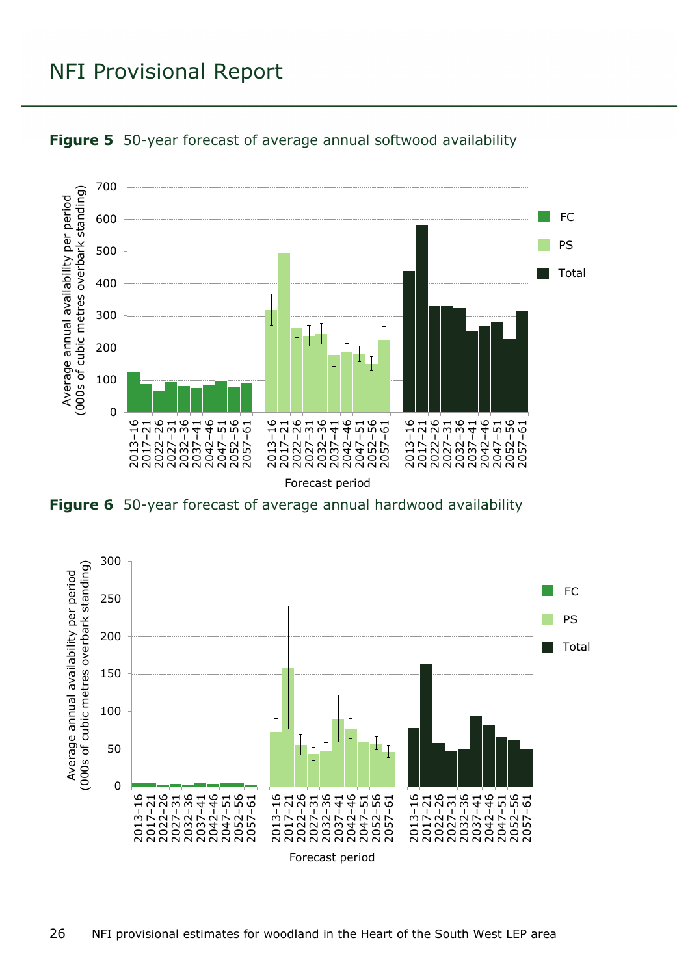

<span id="page-25-0"></span>

<span id="page-25-1"></span>**Figure 6** 50-year forecast of average annual hardwood availability

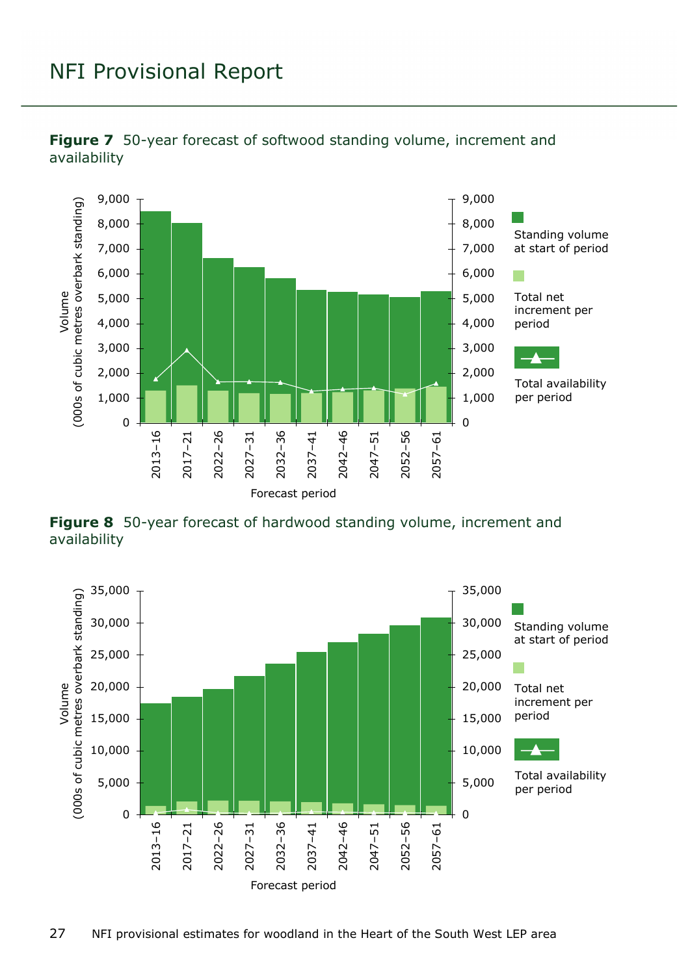

<span id="page-26-0"></span>

<span id="page-26-1"></span>**Figure 8** 50-year forecast of hardwood standing volume, increment and availability

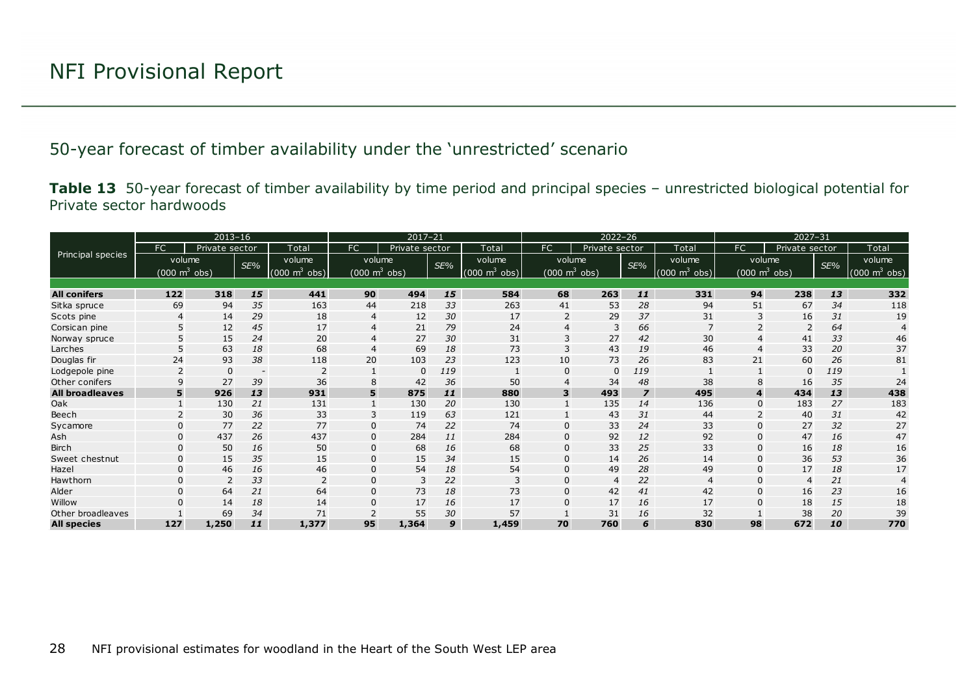#### 50-year forecast of timber availability under the 'unrestricted' scenario

**Table 13** 50-year forecast of timber availability by time period and principal species – unrestricted biological potential for Private sector hardwoods

<span id="page-27-1"></span><span id="page-27-0"></span>

|                        |              | $2013 - 16$                |                          |                                      |                 | $2017 - 21$    |     |                                 | $2022 - 26$            |                |                |                                 |              |                                 |     |                     |
|------------------------|--------------|----------------------------|--------------------------|--------------------------------------|-----------------|----------------|-----|---------------------------------|------------------------|----------------|----------------|---------------------------------|--------------|---------------------------------|-----|---------------------|
|                        | FC           | Private sector             |                          | Total                                | FC              | Private sector |     | Total                           | FC                     | Private sector |                | Total                           | FC           | Private sector                  |     | Total               |
| Principal species      |              | volume                     | SE%                      | volume                               | volume          |                | SE% | volume                          | volume                 |                | SE%            | volume                          |              | volume                          | SE% | volume              |
|                        |              | (000 $\mathsf{m}^{3}$ obs) |                          | $(000 \text{ m}^3)$<br>$ obs\rangle$ | (000 $m^3$ obs) |                |     | $(000 \text{ m}^3 \text{ obs})$ | (000 $\text{m}^3$ obs) |                |                | $(000 \text{ m}^3 \text{ obs})$ |              | $(000 \text{ m}^3 \text{ obs})$ |     | $m^3$ obs)<br>(000) |
|                        |              |                            |                          |                                      |                 |                |     |                                 |                        |                |                |                                 |              |                                 |     |                     |
| <b>All conifers</b>    | 122          | 318                        | 15                       | 441                                  | 90              | 494            | 15  | 584                             | 68                     | 263            | 11             | 331                             | 94           | 238                             | 13  | 332                 |
| Sitka spruce           | 69           | 94                         | 35                       | 163                                  | 44              | 218            | 33  | 263                             | 41                     | 53             | 28             | 94                              | 51           | 67                              | 34  | 118                 |
| Scots pine             | 4            | 14                         | 29                       | 18                                   | 4               | 12             | 30  | 17                              |                        | 29             | 37             | 31                              |              | 16                              | 31  | 19                  |
| Corsican pine          |              | 12                         | 45                       | 17                                   | 4               | 21             | 79  | 24                              |                        | 3              | 66             |                                 |              |                                 | 64  |                     |
| Norway spruce          |              | 15                         | 24                       | 20                                   | $\overline{4}$  | 27             | 30  | 31                              | 3                      | 27             | 42             | 30                              |              | 41                              | 33  | 46                  |
| Larches                |              | 63                         | 18                       | 68                                   | $\overline{4}$  | 69             | 18  | 73                              | 3                      | 43             | 19             | 46                              | 4            | 33                              | 20  | 37                  |
| Douglas fir            | 24           | 93                         | 38                       | 118                                  | 20              | 103            | 23  | 123                             | 10                     | 73             | 26             | 83                              | 21           | 60                              | 26  | 81                  |
| Lodgepole pine         |              | $\Omega$                   | $\overline{\phantom{a}}$ |                                      |                 | $\Omega$       | 119 |                                 | 0                      | $\Omega$       | 119            |                                 |              | $\Omega$                        | 119 |                     |
| Other conifers         | $\mathsf{Q}$ | 27                         | 39                       | 36                                   | 8               | 42             | 36  | 50                              |                        | 34             | 48             | 38                              |              | 16                              | 35  | 24                  |
| <b>All broadleaves</b> | 5            | 926                        | 13                       | 931                                  | 5               | 875            | 11  | 880                             | 3                      | 493            | $\overline{z}$ | 495                             | 4            | 434                             | 13  | 438                 |
| Oak                    |              | 130                        | 21                       | 131                                  |                 | 130            | 20  | 130                             |                        | 135            | 14             | 136                             | $\Omega$     | 183                             | 27  | 183                 |
| Beech                  |              | 30                         | 36                       | 33                                   | 3               | 119            | 63  | 121                             |                        | 43             | 31             | 44                              |              | 40                              | 31  | 42                  |
| Sycamore               |              | 77                         | 22                       | 77                                   | $\overline{0}$  | 74             | 22  | 74                              |                        | 33             | 24             | 33                              |              | 27                              | 32  | 27                  |
| Ash                    | $\Omega$     | 437                        | 26                       | 437                                  | $\Omega$        | 284            | 11  | 284                             | U                      | 92             | 12             | 92                              | <sup>0</sup> | 47                              | 16  | 47                  |
| <b>Birch</b>           | $\Omega$     | 50                         | 16                       | 50                                   | 0               | 68             | 16  | 68                              | 0                      | 33             | 25             | 33                              | 0            | 16                              | 18  | 16                  |
| Sweet chestnut         | $\Omega$     | 15                         | 35                       | 15                                   | $\mathbf 0$     | 15             | 34  | 15                              | 0                      | 14             | 26             | 14                              |              | 36                              | 53  | 36                  |
| Hazel                  | $\mathbf{0}$ | 46                         | 16                       | 46                                   | $\mathbf{0}$    | 54             | 18  | 54                              |                        | 49             | 28             | 49                              | $\Omega$     | 17                              | 18  | 17                  |
| Hawthorn               | $\Omega$     |                            | 33                       | $\overline{2}$                       | 0               | 3              | 22  | 3                               | 0                      | 4              | 22             | $\overline{4}$                  | 0            | $\overline{4}$                  | 21  | 4                   |
| Alder                  | $\Omega$     | 64                         | 21                       | 64                                   | $\mathbf{0}$    | 73             | 18  | 73                              | 0                      | 42             | 41             | 42                              | 0            | 16                              | 23  | 16                  |
| Willow                 |              | 14                         | 18                       | 14                                   | $\Omega$        | 17             | 16  | 17                              | o                      | 17             | 16             | 17                              |              | 18                              | 15  | 18                  |
| Other broadleaves      |              | 69                         | 34                       | 71                                   |                 | 55             | 30  | 57                              |                        | 31             | 16             | 32                              |              | 38                              | 20  | 39                  |
| <b>All species</b>     | 127          | 1,250                      | 11                       | 1,377                                | 95              | 1,364          | 9   | 1,459                           | 70                     | 760            | 6              | 830                             | 98           | 672                             | 10  | 770                 |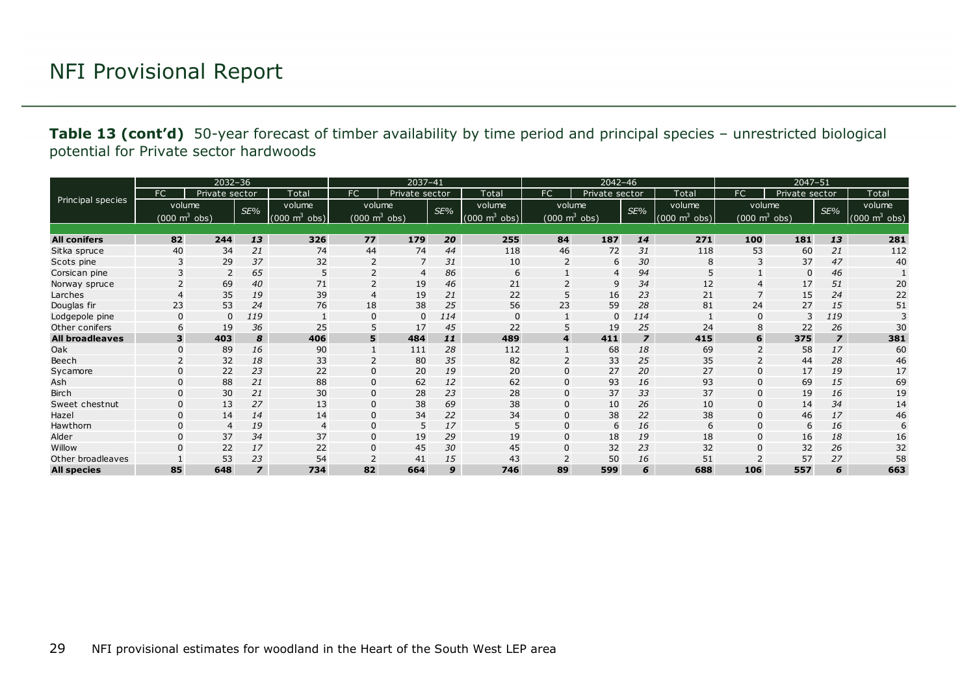**Table 13 (cont'd)** 50-year forecast of timber availability by time period and principal species – unrestricted biological potential for Private sector hardwoods

|                        | $2032 - 36$                |                |                |                                | $2037 - 41$     |                |     |                                     | $2042 - 46$                     |                |                |                            | $2047 - 51$ |                                 |                |                  |
|------------------------|----------------------------|----------------|----------------|--------------------------------|-----------------|----------------|-----|-------------------------------------|---------------------------------|----------------|----------------|----------------------------|-------------|---------------------------------|----------------|------------------|
|                        | FC                         | Private sector |                | Total                          | <b>FC</b>       | Private sector |     | Total                               | FC                              | Private sector |                | Total                      | FC          | Private sector                  |                | Total            |
| Principal species      | volume                     |                | SE%            | volume                         | volume          |                | SE% | volume                              | volume                          |                | SE%            | volume                     |             | volume                          | SE%            | volume           |
|                        | (000 $\mathsf{m}^{3}$ obs) |                |                | m <sup>3</sup><br>(000)<br>obj | (000 $m^3$ obs) |                |     | $(000 \; \text{m}^3 \; \text{obs})$ | $(000 \text{ m}^3 \text{ obs})$ |                |                | $\sqrt{m^3}$ obs)<br>(000) |             | $(000 \text{ m}^3 \text{ obs})$ |                | $m3$ obs)<br>000 |
|                        |                            |                |                |                                |                 |                |     |                                     |                                 |                |                |                            |             |                                 |                |                  |
| <b>All conifers</b>    | 82                         | 244            | 13             | 326                            | 77              | 179            | 20  | 255                                 | 84                              | 187            | 14             | 271                        | 100         | 181                             | 13             | 281              |
| Sitka spruce           | 40                         | 34             | 21             | 74                             | 44              | 74             | 44  | 118                                 | 46                              | 72             | 31             | 118                        | 53          | 60                              | 21             | 112              |
| Scots pine             | 3                          | 29             | 37             | 32                             | $\overline{2}$  | 7              | 31  | 10                                  | $\overline{2}$                  | 6              | 30             | 8                          | 3           | 37                              | 47             | 40               |
| Corsican pine          |                            | 2              | 65             | 5                              | 2               | $\overline{4}$ | 86  | 6                                   |                                 | $\overline{4}$ | 94             | 5                          |             | $\mathbf 0$                     | 46             |                  |
| Norway spruce          |                            | 69             | 40             | 71                             | $\overline{2}$  | 19             | 46  | 21                                  |                                 | 9              | 34             | 12                         | 4           | 17                              | 51             | 20               |
| Larches                | $\overline{4}$             | 35             | 19             | 39                             | $\overline{4}$  | 19             | 21  | 22                                  | 5                               | 16             | 23             | 21                         |             | 15                              | 24             | 22               |
| Douglas fir            | 23                         | 53             | 24             | 76                             | 18              | 38             | 25  | 56                                  | 23                              | 59             | 28             | 81                         | 24          | 27                              | 15             | 51               |
| Lodgepole pine         | $\Omega$                   | $\Omega$       | 119            |                                | $\Omega$        | $\mathbf{0}$   | 114 | $\Omega$                            |                                 | $\mathbf{0}$   | 114            |                            | 0           | 3                               | 119            |                  |
| Other conifers         | 6                          | 19             | 36             | 25                             | 5               | 17             | 45  | 22                                  | 5                               | 19             | 25             | 24                         | 8           | 22                              | 26             | 30               |
| <b>All broadleaves</b> | 3                          | 403            | 8              | 406                            | 5               | 484            | 11  | 489                                 | $\overline{\mathbf{4}}$         | 411            | $\overline{z}$ | 415                        | 6           | 375                             | $\overline{z}$ | 381              |
| Oak                    | $\mathbf 0$                | 89             | 16             | 90                             |                 | 111            | 28  | 112                                 |                                 | 68             | 18             | 69                         |             | 58                              | 17             | 60               |
| Beech                  |                            | 32             | 18             | 33                             |                 | 80             | 35  | 82                                  |                                 | 33             | 25             | 35                         |             | 44                              | 28             | 46               |
| Sycamore               | $\Omega$                   | 22             | 23             | 22                             | $\mathbf 0$     | 20             | 19  | 20                                  | 0                               | 27             | 20             | 27                         | $\Omega$    | 17                              | 19             | 17               |
| Ash                    | $\Omega$                   | 88             | 21             | 88                             | $\mathbf{0}$    | 62             | 12  | 62                                  | 0                               | 93             | 16             | 93                         | $\Omega$    | 69                              | 15             | 69               |
| <b>Birch</b>           | $\Omega$                   | 30             | 21             | 30                             | 0               | 28             | 23  | 28                                  | 0                               | 37             | 33             | 37                         | 0           | 19                              | 16             | 19               |
| Sweet chestnut         | $\Omega$                   | 13             | 27             | 13                             | $\mathbf 0$     | 38             | 69  | 38                                  | 0                               | 10             | 26             | 10                         |             | 14                              | 34             | 14               |
| Hazel                  | $\Omega$                   | 14             | 14             | 14                             | $\overline{0}$  | 34             | 22  | 34                                  | 0                               | 38             | 22             | 38                         | $\Omega$    | 46                              | 17             | 46               |
| Hawthorn               | $\Omega$                   | $\overline{4}$ | 19             | $\overline{4}$                 | $\mathbf{0}$    | 5              | 17  | 5                                   | 0                               | 6              | 16             | 6                          | 0           | 6                               | 16             | 6                |
| Alder                  | $\Omega$                   | 37             | 34             | 37                             | $\mathbf{0}$    | 19             | 29  | 19                                  | 0                               | 18             | 19             | 18                         | 0           | 16                              | 18             | 16               |
| Willow                 | $\Omega$                   | 22             | 17             | 22                             | $\mathbf 0$     | 45             | 30  | 45                                  | 0                               | 32             | 23             | 32                         |             | 32                              | 26             | 32               |
| Other broadleaves      |                            | 53             | 23             | 54                             | $\overline{2}$  | 41             | 15  | 43                                  |                                 | 50             | 16             | 51                         |             | 57                              | 27             | 58               |
| <b>All species</b>     | 85                         | 648            | $\overline{z}$ | 734                            | 82              | 664            | 9   | 746                                 | 89                              | 599            | 6              | 688                        | 106         | 557                             | 6              | 663              |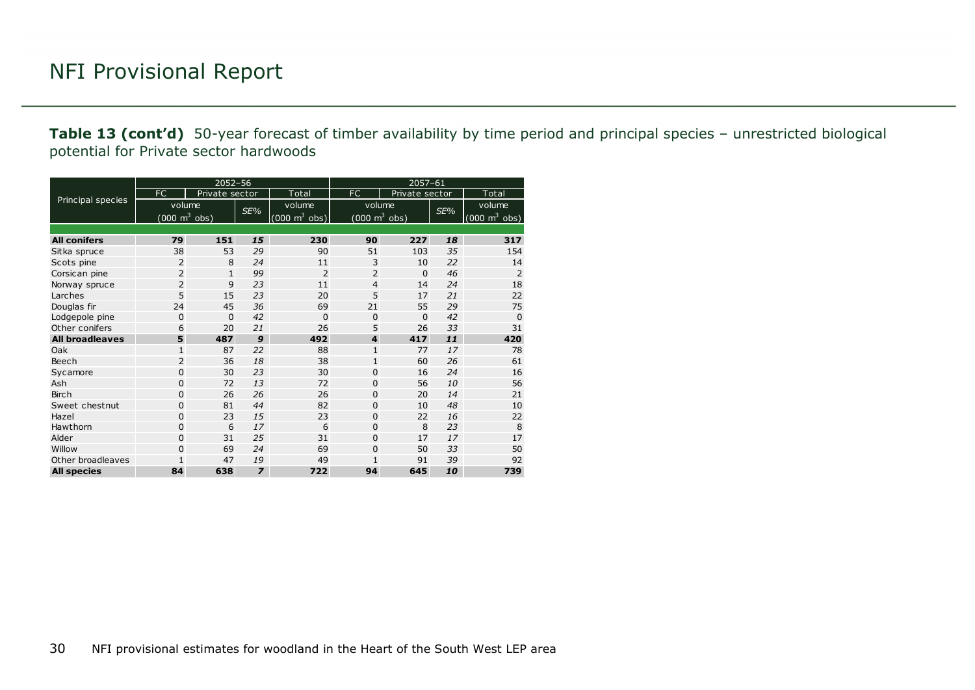**Table 13 (cont'd)** 50-year forecast of timber availability by time period and principal species – unrestricted biological potential for Private sector hardwoods

|                        |                                     | $2052 - 56$    |                |                                 | $2057 - 61$                     |                |     |                                 |  |  |  |
|------------------------|-------------------------------------|----------------|----------------|---------------------------------|---------------------------------|----------------|-----|---------------------------------|--|--|--|
|                        | FC.                                 | Private sector |                | Total                           | FC                              | Private sector |     | Total                           |  |  |  |
| Principal species      | volume                              |                |                | volume                          | volume                          |                |     | volume                          |  |  |  |
|                        | $(000 \; \text{m}^3 \; \text{obs})$ |                | SE%            | $(000 \text{ m}^3 \text{ obs})$ | $(000 \text{ m}^3 \text{ obs})$ |                | SE% | $(000 \text{ m}^3 \text{ obs})$ |  |  |  |
|                        |                                     |                |                |                                 |                                 |                |     |                                 |  |  |  |
| <b>All conifers</b>    | 79                                  | 151            | 15             | 230                             | 90                              | 227            | 18  | 317                             |  |  |  |
| Sitka spruce           | 38                                  | 53             | 29             | 90                              | 51                              | 103            | 35  | 154                             |  |  |  |
| Scots pine             | 2                                   | 8              | 24             | 11                              | 3                               | 10             | 22  | 14                              |  |  |  |
| Corsican pine          | $\overline{2}$                      | $\mathbf{1}$   | 99             | $\overline{2}$                  | $\overline{2}$                  | $\Omega$       | 46  | $\overline{2}$                  |  |  |  |
| Norway spruce          | $\overline{2}$                      | 9              | 23             | 11                              | $\overline{4}$                  | 14             | 24  | 18                              |  |  |  |
| Larches                | 5                                   | 15             | 23             | 20                              | 5                               | 17             | 21  | 22                              |  |  |  |
| Douglas fir            | 24                                  | 45             | 36             | 69                              | 21                              | 55             | 29  | 75                              |  |  |  |
| Lodgepole pine         | $\mathbf 0$                         | $\mathbf 0$    | 42             | $\Omega$                        | 0                               | $\Omega$       | 42  | $\Omega$                        |  |  |  |
| Other conifers         | 6                                   | 20             | 21             | 26                              | 5                               | 26             | 33  | 31                              |  |  |  |
| <b>All broadleaves</b> | 5                                   | 487            | 9              | 492                             | $\overline{\mathbf{4}}$         | 417            | 11  | 420                             |  |  |  |
| Oak                    | $\mathbf{1}$                        | 87             | 22             | 88                              | $\mathbf{1}$                    | 77             | 17  | 78                              |  |  |  |
| Beech                  | $\overline{2}$                      | 36             | 18             | 38                              | $\mathbf{1}$                    | 60             | 26  | 61                              |  |  |  |
| Sycamore               | 0                                   | 30             | 23             | 30                              | 0                               | 16             | 24  | 16                              |  |  |  |
| Ash                    | 0                                   | 72             | 13             | 72                              | 0                               | 56             | 10  | 56                              |  |  |  |
| <b>Birch</b>           | 0                                   | 26             | 26             | 26                              | $\mathbf 0$                     | 20             | 14  | 21                              |  |  |  |
| Sweet chestnut         | 0                                   | 81             | 44             | 82                              | $\Omega$                        | 10             | 48  | 10                              |  |  |  |
| Hazel                  | 0                                   | 23             | 15             | 23                              | 0                               | 22             | 16  | 22                              |  |  |  |
| Hawthorn               | 0                                   | 6              | 17             | 6                               | 0                               | 8              | 23  | 8                               |  |  |  |
| Alder                  | 0                                   | 31             | 25             | 31                              | $\Omega$                        | 17             | 17  | 17                              |  |  |  |
| Willow                 | 0                                   | 69             | 24             | 69                              | 0                               | 50             | 33  | 50                              |  |  |  |
| Other broadleaves      | $\mathbf{1}$                        | 47             | 19             | 49                              | 1                               | 91             | 39  | 92                              |  |  |  |
| <b>All species</b>     | 84                                  | 638            | $\overline{z}$ | 722                             | 94                              | 645            | 10  | 739                             |  |  |  |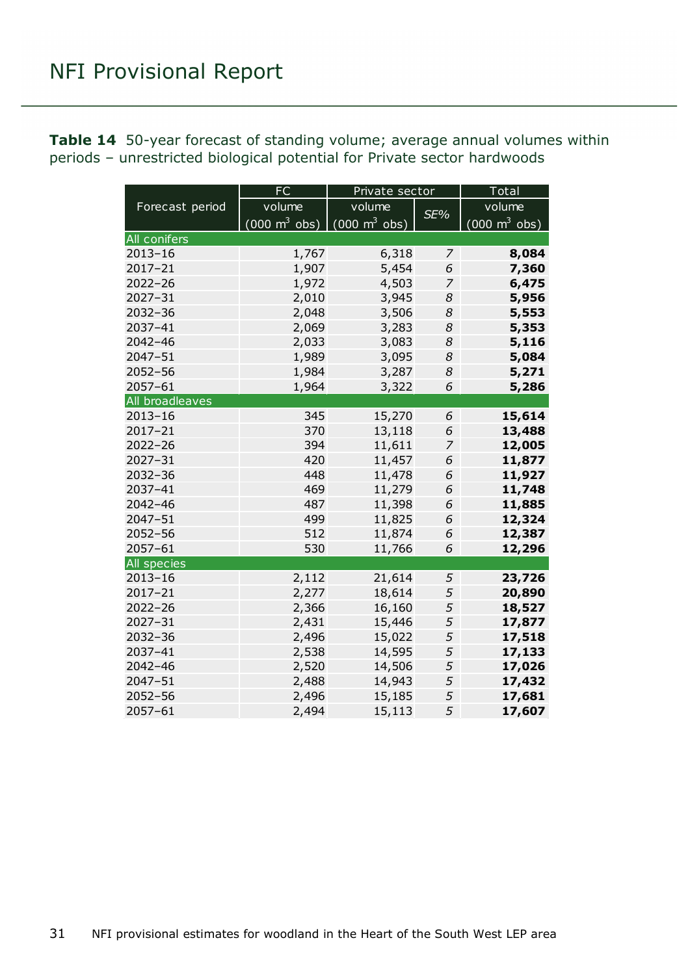<span id="page-30-0"></span>

| <b>Table 14</b> 50-year forecast of standing volume; average annual volumes within |  |
|------------------------------------------------------------------------------------|--|
| periods – unrestricted biological potential for Private sector hardwoods           |  |

|                    | <b>FC</b>                           | Private sector                      |     | Total                               |  |  |
|--------------------|-------------------------------------|-------------------------------------|-----|-------------------------------------|--|--|
| Forecast period    | volume                              | volume                              |     | volume                              |  |  |
|                    | $(000 \; \text{m}^3 \; \text{obs})$ | $(000 \; \text{m}^3 \; \text{obs})$ | SE% | $(000 \; \text{m}^3 \; \text{obs})$ |  |  |
| All conifers       |                                     |                                     |     |                                     |  |  |
| $2013 - 16$        | 1,767                               | 6,318                               | 7   | 8,084                               |  |  |
| $2017 - 21$        | 1,907                               | 5,454                               | 6   | 7,360                               |  |  |
| $2022 - 26$        | 1,972                               | 4,503                               | 7   | 6,475                               |  |  |
| $2027 - 31$        | 2,010                               | 3,945                               | 8   | 5,956                               |  |  |
| 2032-36            | 2,048                               | 3,506                               | 8   | 5,553                               |  |  |
| 2037-41            | 2,069                               | 3,283                               | 8   | 5,353                               |  |  |
| $2042 - 46$        | 2,033                               | 3,083                               | 8   | 5,116                               |  |  |
| 2047-51            | 1,989                               | 3,095                               | 8   | 5,084                               |  |  |
| $2052 - 56$        | 1,984                               | 3,287                               | 8   | 5,271                               |  |  |
| $2057 - 61$        | 1,964                               | 3,322                               | 6   | 5,286                               |  |  |
| All broadleaves    |                                     |                                     |     |                                     |  |  |
| $2013 - 16$        | 345                                 | 15,270                              | 6   | 15,614                              |  |  |
| $2017 - 21$        | 370                                 | 13,118                              | 6   | 13,488                              |  |  |
| $2022 - 26$        | 394                                 | 11,611                              | 7   | 12,005                              |  |  |
| 2027-31            | 420                                 | 11,457                              | 6   | 11,877                              |  |  |
| 2032-36            | 448                                 | 11,478                              | 6   | 11,927                              |  |  |
| 2037-41            | 469                                 | 11,279                              | 6   | 11,748                              |  |  |
| $2042 - 46$        | 487                                 | 11,398                              | 6   | 11,885                              |  |  |
| $2047 - 51$        | 499                                 | 11,825                              | 6   | 12,324                              |  |  |
| $2052 - 56$        | 512                                 | 11,874                              | 6   | 12,387                              |  |  |
| $2057 - 61$        | 530                                 | 11,766                              | 6   | 12,296                              |  |  |
| <b>All species</b> |                                     |                                     |     |                                     |  |  |
| $2013 - 16$        | 2,112                               | 21,614                              | 5   | 23,726                              |  |  |
| $2017 - 21$        | 2,277                               | 18,614                              | 5   | 20,890                              |  |  |
| $2022 - 26$        | 2,366                               | 16,160                              | 5   | 18,527                              |  |  |
| $2027 - 31$        | 2,431                               | 15,446                              | 5   | 17,877                              |  |  |
| $2032 - 36$        | 2,496                               | 15,022                              | 5   | 17,518                              |  |  |
| 2037-41            | 2,538                               | 14,595                              | 5   | 17,133                              |  |  |
| $2042 - 46$        | 2,520                               | 14,506                              | 5   | 17,026                              |  |  |
| $2047 - 51$        | 2,488                               | 14,943                              | 5   | 17,432                              |  |  |
| $2052 - 56$        | 2,496                               | 15,185                              | 5   | 17,681                              |  |  |
| 2057-61            | 2,494                               | 15,113                              | 5   | 17,607                              |  |  |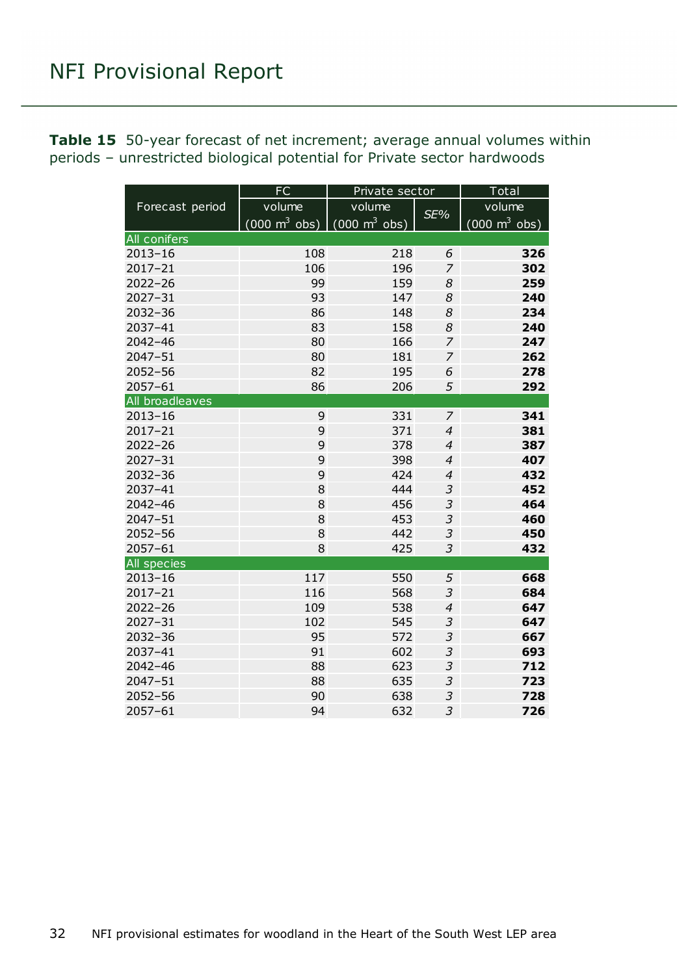<span id="page-31-0"></span>**Table 15** 50-year forecast of net increment; average annual volumes within periods – unrestricted biological potential for Private sector hardwoods

|                 | FC                                  | Private sector                      | Total          |                                 |  |
|-----------------|-------------------------------------|-------------------------------------|----------------|---------------------------------|--|
| Forecast period | volume                              | volume                              | SE%            | volume                          |  |
|                 | $(000 \; \text{m}^3 \; \text{obs})$ | $(000 \; \text{m}^3 \; \text{obs})$ |                | $(000 \text{ m}^3 \text{ obs})$ |  |
| All conifers    |                                     |                                     |                |                                 |  |
| $2013 - 16$     | 108                                 | 218                                 | 6              | 326                             |  |
| 2017-21         | 106                                 | 196                                 | 7              | 302                             |  |
| $2022 - 26$     | 99                                  | 159                                 | 8              | 259                             |  |
| $2027 - 31$     | 93                                  | 147                                 | 8              | 240                             |  |
| 2032-36         | 86                                  | 148                                 | 8              | 234                             |  |
| 2037-41         | 83                                  | 158                                 | 8              | 240                             |  |
| $2042 - 46$     | 80                                  | 166                                 | $\overline{z}$ | 247                             |  |
| 2047-51         | 80                                  | 181                                 | 7              | 262                             |  |
| 2052-56         | 82                                  | 195                                 | 6              | 278                             |  |
| 2057-61         | 86                                  | 206                                 | 5              | 292                             |  |
| All broadleaves |                                     |                                     |                |                                 |  |
| $2013 - 16$     | 9                                   | 331                                 | $\overline{z}$ | 341                             |  |
| $2017 - 21$     | 9                                   | 371                                 | $\overline{4}$ | 381                             |  |
| $2022 - 26$     | 9                                   | 378                                 | $\overline{4}$ | 387                             |  |
| $2027 - 31$     | 9                                   | 398                                 | $\overline{4}$ | 407                             |  |
| 2032-36         | 9                                   | 424                                 | $\overline{4}$ | 432                             |  |
| 2037-41         | 8                                   | 444                                 | 3              | 452                             |  |
| $2042 - 46$     | 8                                   | 456                                 | 3              | 464                             |  |
| 2047-51         | 8                                   | 453                                 | 3              | 460                             |  |
| $2052 - 56$     | 8                                   | 442                                 | $\overline{3}$ | 450                             |  |
| 2057-61         | 8                                   | 425                                 | 3              | 432                             |  |
| All species     |                                     |                                     |                |                                 |  |
| $2013 - 16$     | 117                                 | 550                                 | 5              | 668                             |  |
| 2017-21         | 116                                 | 568                                 | 3              | 684                             |  |
| $2022 - 26$     | 109                                 | 538                                 | $\overline{4}$ | 647                             |  |
| $2027 - 31$     | 102                                 | 545                                 | 3              | 647                             |  |
| 2032-36         | 95                                  | 572                                 | $\overline{3}$ | 667                             |  |
| 2037-41         | 91                                  | 602                                 | $\overline{3}$ | 693                             |  |
| $2042 - 46$     | 88                                  | 623                                 | $\overline{3}$ | 712                             |  |
| $2047 - 51$     | 88                                  | 635                                 | 3              | 723                             |  |
| 2052-56         | 90                                  | 638                                 | 3              | 728                             |  |
| $2057 - 61$     | 94                                  | 632                                 | 3              | 726                             |  |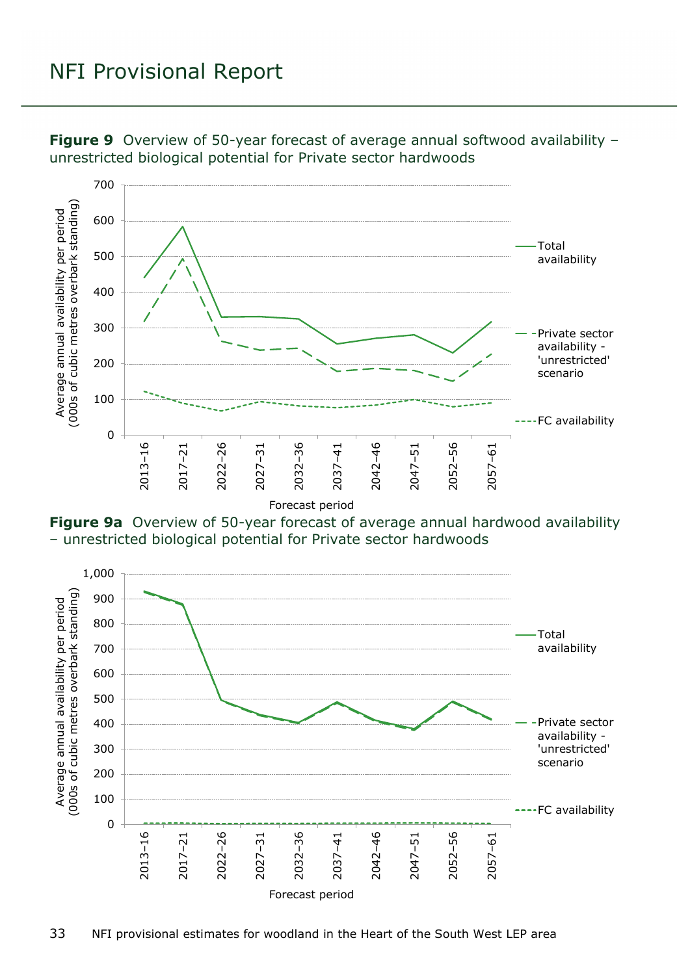

<span id="page-32-0"></span>**Figure 9** Overview of 50-year forecast of average annual softwood availability – unrestricted biological potential for Private sector hardwoods

<span id="page-32-1"></span>**Figure 9a** Overview of 50-year forecast of average annual hardwood availability – unrestricted biological potential for Private sector hardwoods

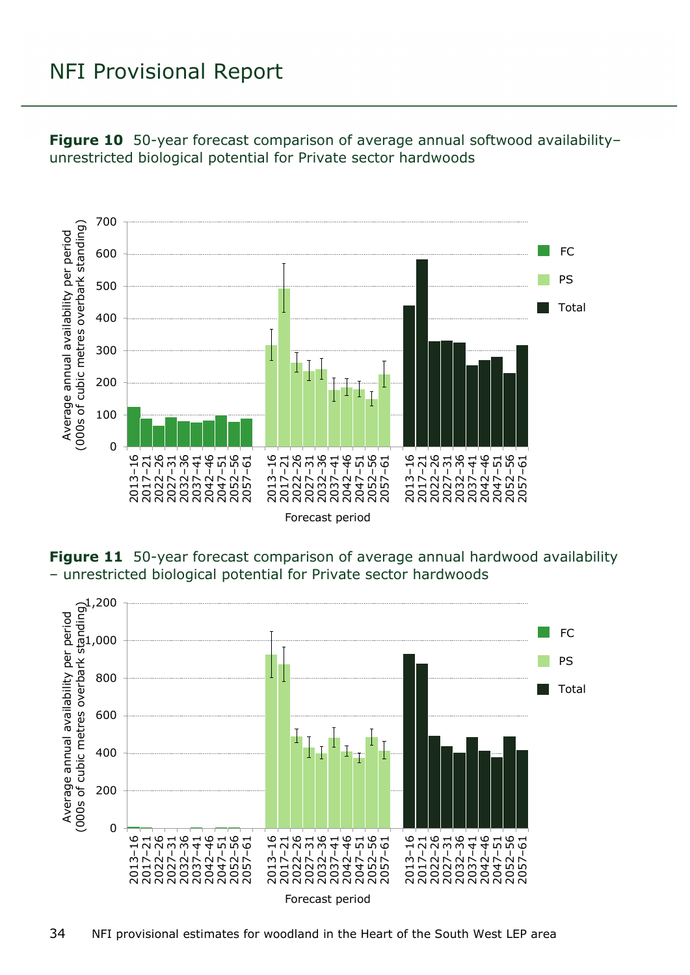

<span id="page-33-0"></span>**Figure 10** 50-year forecast comparison of average annual softwood availability– unrestricted biological potential for Private sector hardwoods

<span id="page-33-1"></span>**Figure 11** 50-year forecast comparison of average annual hardwood availability – unrestricted biological potential for Private sector hardwoods

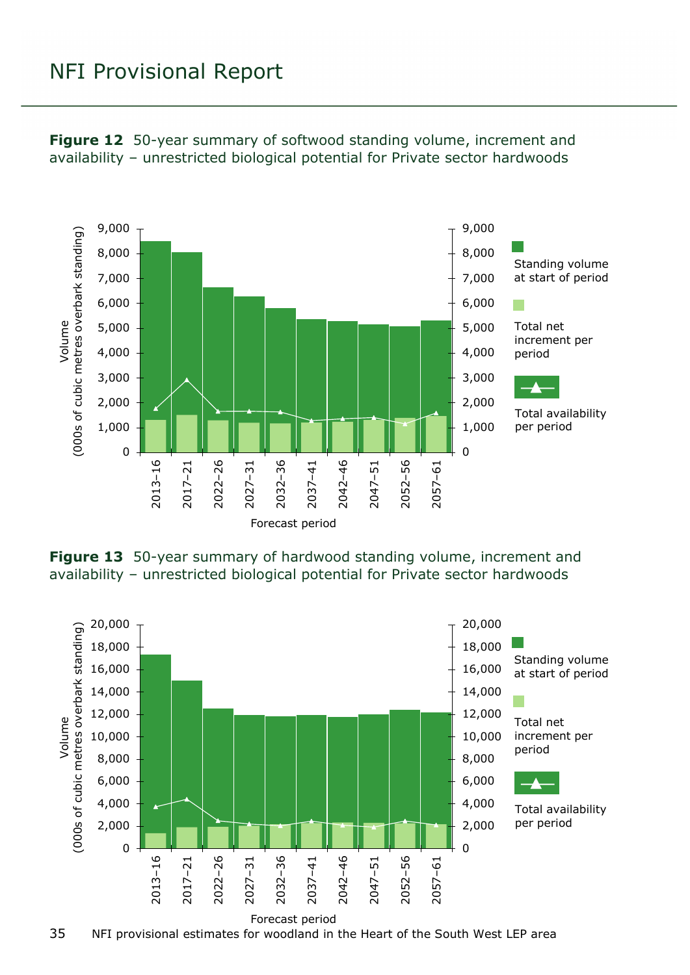

<span id="page-34-0"></span>**Figure 12** 50-year summary of softwood standing volume, increment and availability – unrestricted biological potential for Private sector hardwoods

<span id="page-34-1"></span>**Figure 13** 50-year summary of hardwood standing volume, increment and availability – unrestricted biological potential for Private sector hardwoods



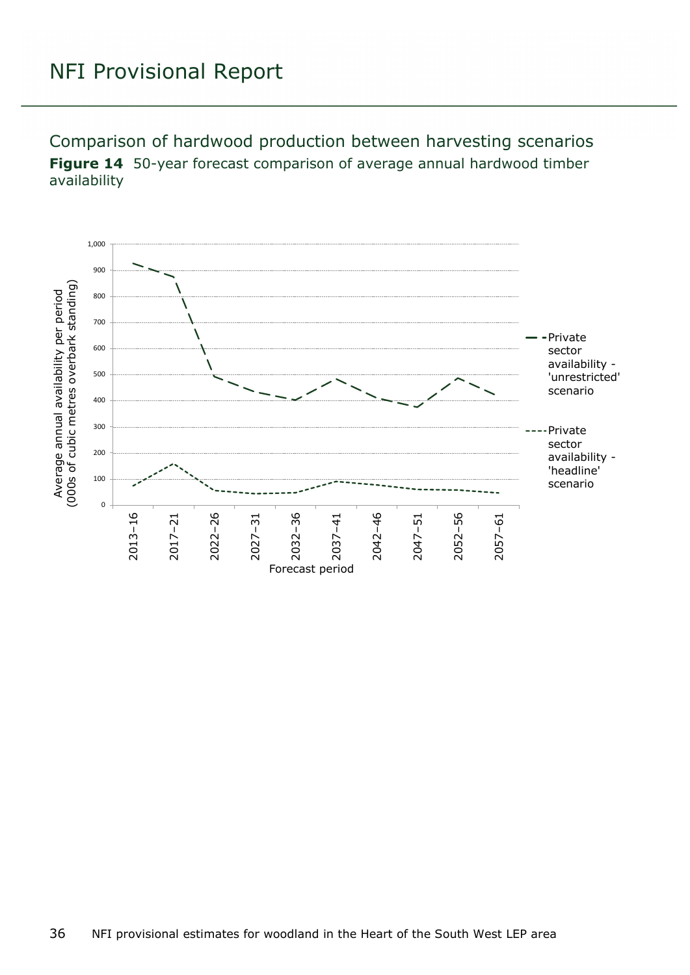<span id="page-35-1"></span><span id="page-35-0"></span>Comparison of hardwood production between harvesting scenarios **Figure 14** 50-year forecast comparison of average annual hardwood timber availability

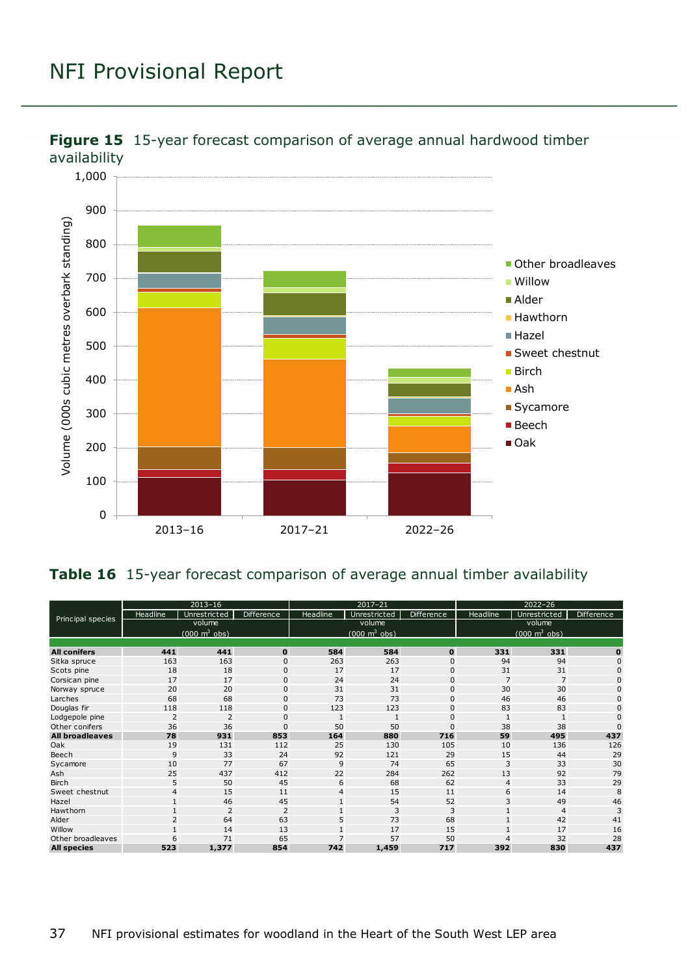

<span id="page-36-0"></span>

#### <span id="page-36-1"></span>**Table 16** 15-year forecast comparison of average annual timber availability

|                        | $2013 - 16$                     |                |                   | $2017 - 21$                     |              |                   | $2022 - 26$                     |                |              |
|------------------------|---------------------------------|----------------|-------------------|---------------------------------|--------------|-------------------|---------------------------------|----------------|--------------|
| Principal species      | Headline                        | Unrestricted   | <b>Difference</b> | Headline                        | Unrestricted | <b>Difference</b> | Headline                        | Unrestricted   | Difference   |
|                        | volume                          |                |                   | volume                          |              |                   | volume                          |                |              |
|                        | $(000 \text{ m}^3 \text{ obs})$ |                |                   | $(000 \text{ m}^3 \text{ obs})$ |              |                   | $(000 \text{ m}^3 \text{ obs})$ |                |              |
|                        |                                 |                |                   |                                 |              |                   |                                 |                |              |
| <b>All conifers</b>    | 441                             | 441            | $\mathbf 0$       | 584                             | 584          | $\mathbf{0}$      | 331                             | 331            | $\bf{0}$     |
| Sitka spruce           | 163                             | 163            | $\mathbf{0}$      | 263                             | 263          | 0                 | 94                              | 94             | $\mathbf{0}$ |
| Scots pine             | 18                              | 18             | $\mathbf{0}$      | 17                              | 17           | $\mathbf{0}$      | 31                              | 31             | $\Omega$     |
| Corsican pine          | 17                              | 17             | $\mathbf{0}$      | 24                              | 24           | $\mathbf 0$       | 7                               | $\overline{7}$ | $\Omega$     |
| Norway spruce          | 20                              | 20             | $\mathbf{0}$      | 31                              | 31           | $\mathbf 0$       | 30                              | 30             | 0            |
| Larches                | 68                              | 68             | $\mathbf{0}$      | 73                              | 73           | 0                 | 46                              | 46             | $\Omega$     |
| Douglas fir            | 118                             | 118            | $\mathbf{0}$      | 123                             | 123          | $\mathbf 0$       | 83                              | 83             | 0            |
| Lodgepole pine         | $\overline{2}$                  | $\overline{2}$ | $\Omega$          |                                 |              | 0                 |                                 |                | $\Omega$     |
| Other conifers         | 36                              | 36             | $\Omega$          | 50                              | 50           | 0                 | 38                              | 38             | $\Omega$     |
| <b>All broadleaves</b> | 78                              | 931            | 853               | 164                             | 880          | 716               | 59                              | 495            | 437          |
| Oak                    | 19                              | 131            | 112               | 25                              | 130          | 105               | 10                              | 136            | 126          |
| Beech                  | 9                               | 33             | 24                | 92                              | 121          | 29                | 15                              | 44             | 29           |
| Sycamore               | 10                              | 77             | 67                | 9                               | 74           | 65                | 3                               | 33             | 30           |
| Ash                    | 25                              | 437            | 412               | 22                              | 284          | 262               | 13                              | 92             | 79           |
| <b>Birch</b>           | 5                               | 50             | 45                | 6                               | 68           | 62                | $\overline{4}$                  | 33             | 29           |
| Sweet chestnut         | 4                               | 15             | 11                | 4                               | 15           | 11                | 6                               | 14             | 8            |
| Hazel                  |                                 | 46             | 45                |                                 | 54           | 52                | 3                               | 49             | 46           |
| Hawthorn               |                                 | 2              | $\overline{2}$    |                                 | 3            | 3                 | $\mathbf{1}$                    | $\overline{4}$ | 3            |
| Alder                  | 2                               | 64             | 63                | 5                               | 73           | 68                |                                 | 42             | 41           |
| Willow                 |                                 | 14             | 13                |                                 | 17           | 15                |                                 | 17             | 16           |
| Other broadleaves      | 6                               | 71             | 65                |                                 | 57           | 50                |                                 | 32             | 28           |
| <b>All species</b>     | 523                             | 1,377          | 854               | 742                             | 1,459        | 717               | 392                             | 830            | 437          |